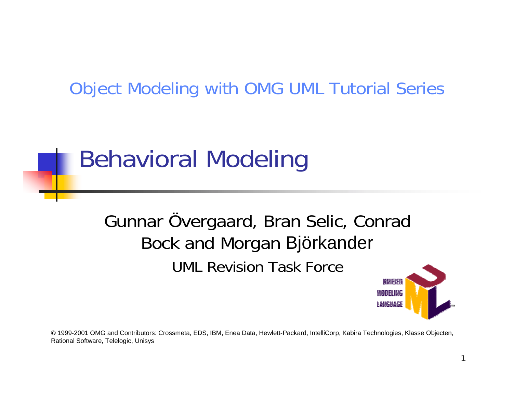#### Object Modeling with OMG UML Tutorial Series

#### Behavioral Modeling

#### Gunnar Övergaard, Bran Selic, Conrad Bock and Morgan Björkander UML Revision Task Force



**©** 1999-2001 OMG and Contributors: Crossmeta, EDS, IBM, Enea Data, Hewlett-Packard, IntelliCorp, Kabira Technologies, Klasse Objecten, Rational Software, Telelogic, Unisys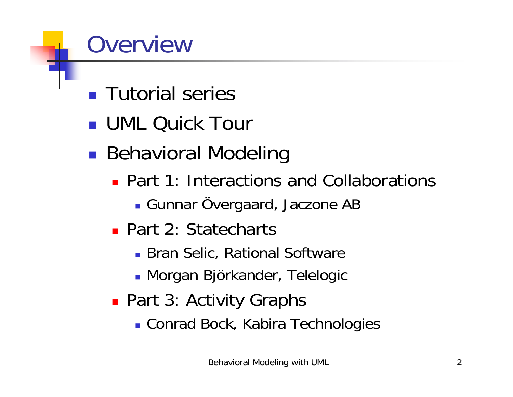#### **Overview**

- **Tutorial series**
- **UML Quick Tour**
- **In the contract of the contract of the contract of the contract of the contract of the contract of the contract Behavioral Modeling** 
	- **Part 1: Interactions and Collaborations** 
		- **Gunnar Övergaard, Jaczone AB**
	- Part 2: Statecharts
		- **.** Bran Selic, Rational Software
		- **Morgan Björkander, Telelogic**
	- **Part 3: Activity Graphs** 
		- **.** Conrad Bock, Kabira Technologies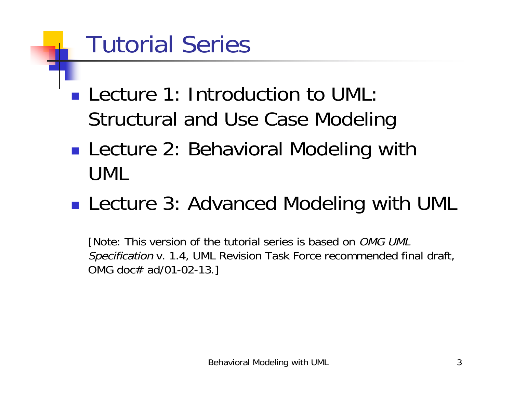#### Tutorial Series

- **Lecture 1: Introduction to UML:** Structural and Use Case Modeling
- **. Lecture 2: Behavioral Modeling with** UML
- **Lecture 3: Advanced Modeling with UML**

[Note: This version of the tutorial series is based on OMG UML Specification v. 1.4, UML Revision Task Force recommended final draft, OMG doc# ad/01-02-13.]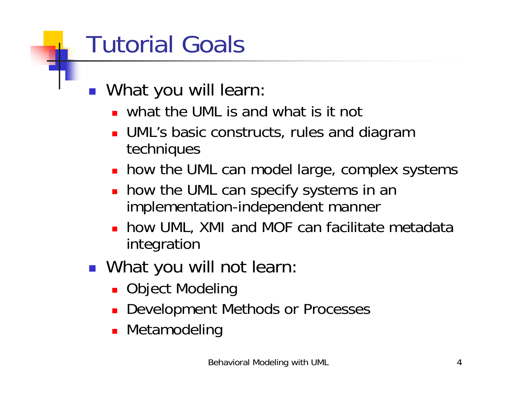## Tutorial Goals

- **. What you will learn:** 
	- **.** what the UML is and what is it not
	- **.** UML's basic constructs, rules and diagram techniques
	- **. how the UML can model large, complex systems**
	- **.** how the UML can specify systems in an implementation-independent manner
	- ! how UML, XMI and MOF can facilitate metadata integration
- **. What you will not learn:** 
	- **. Object Modeling**
	- **. Development Methods or Processes**
	- **.** Metamodeling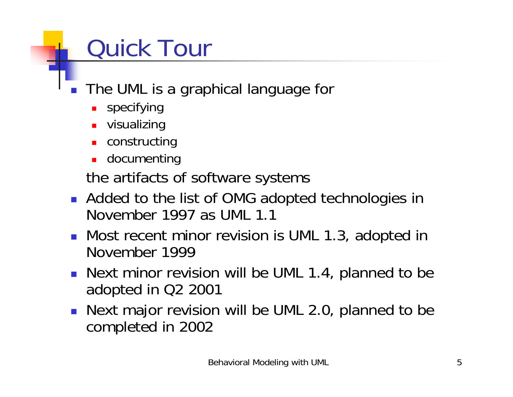# Quick Tour

- ! The UML is a graphical language for
	- **BEDE IS A Specifying**
	- $\blacksquare$  visualizing
	- **E** constructing
	- **.** documenting

the artifacts of software systems

- **.** Added to the list of OMG adopted technologies in November 1997 as UML 1.1
- **.** Most recent minor revision is UML 1.3, adopted in November 1999
- **.** Next minor revision will be UML 1.4, planned to be adopted in Q2 2001
- **.** Next major revision will be UML 2.0, planned to be completed in 2002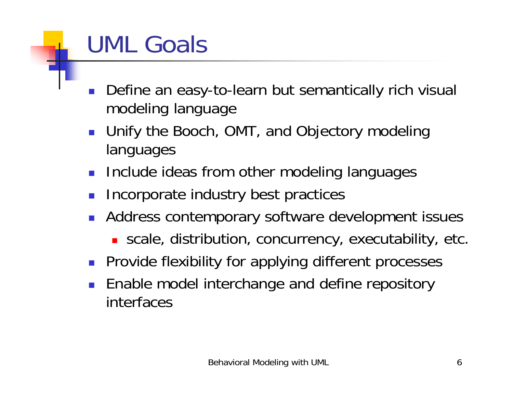### UML Goals

- ! Define an easy-to-learn but semantically rich visual modeling language
- ! Unify the Booch, OMT, and Objectory modeling languages
- **Include ideas from other modeling languages**
- Incorporate industry best practices
- **.** Address contemporary software development issues
	- **.** scale, distribution, concurrency, executability, etc.
- **Provide flexibility for applying different processes**
- Enable model interchange and define repository interfaces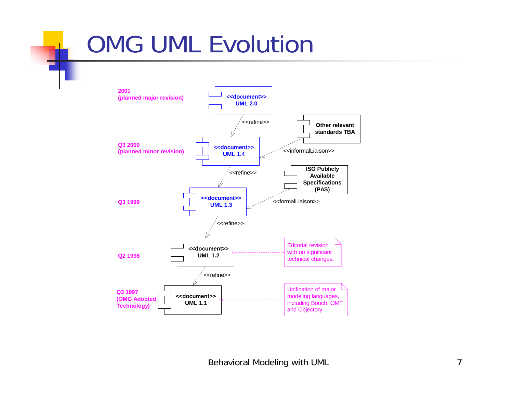#### OMG UML Evolution

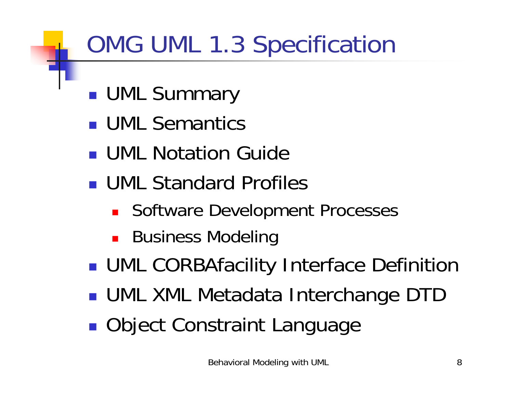# OMG UML 1.3 Specification

- !**UML Summary**
- **UML Semantics**
- **UML Notation Guide**
- **UML Standard Profiles** 
	- **BEDE Software Development Processes**
	- Business Modeling
- **.** UML CORBAfacility Interface Definition
- **In the contract of the contract of the contract of the contract of the contract of the contract of the contract** UML XML Metadata Interchange DTD
- *DESCRIPTION AND PROPERTY ARRANGEMENT* **• Object Constraint Language**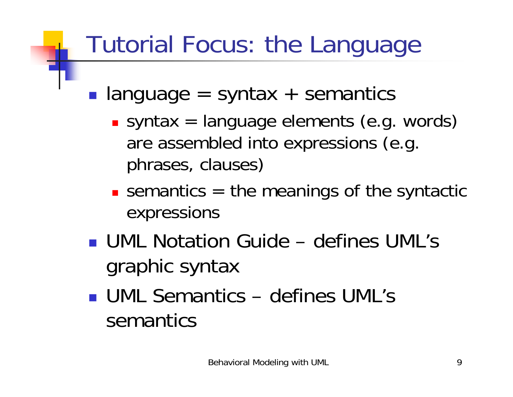#### Tutorial Focus: the Language

- ! language = syntax + semantics
	- **Syntax = language elements (e.g. words)** are assembled into expressions (e.g. phrases, clauses)
	- **Example 1 semantics = the meanings of the syntactic** expressions
- ! UML Notation Guide defines UML's graphic syntax
- ! UML Semantics defines UML's semantics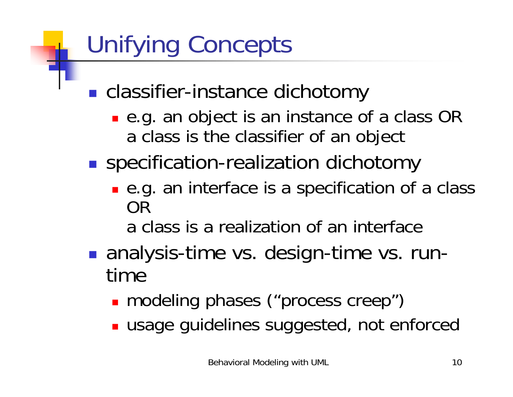## Unifying Concepts

- *DESCRIPTION AND PROPERTY ARRANGEMENT* ■ classifier-instance dichotomy
	- e.g. an object is an instance of a class OR a class is the classifier of an object
- *DESCRIPTION AND PROPERTY ARRANGEMENT* **Specification-realization dichotomy** 
	- **.** e.g. an interface is a specification of a class OR
		- a class is a realization of an interface
- *DESCRIPTION AND PROPERTY ARRANGEMENT*  analysis-time vs. design-time vs. runtime
	- **n** modeling phases ("process creep")
	- **. usage guidelines suggested, not enforced**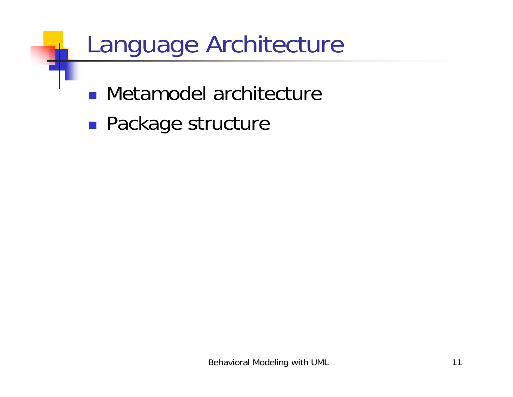#### Language Architecture

- **.** Metamodel architecture
- *DESCRIPTION AND PROPERTY ARRANGEMENT* **Package structure**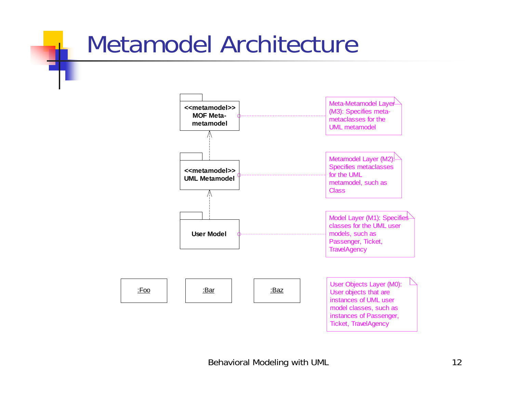#### Metamodel Architecture

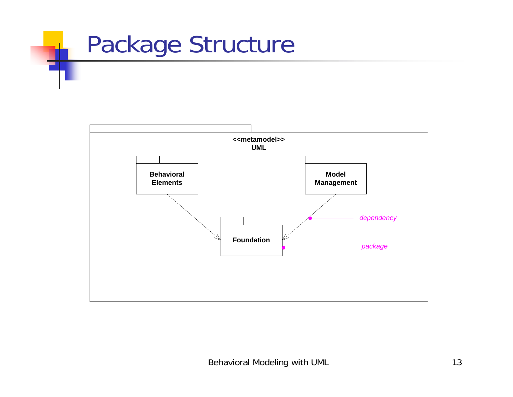

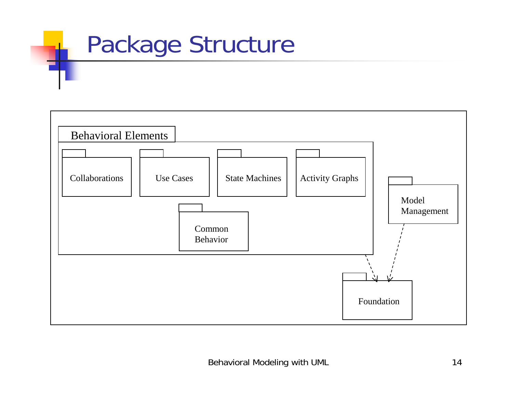#### Package Structure

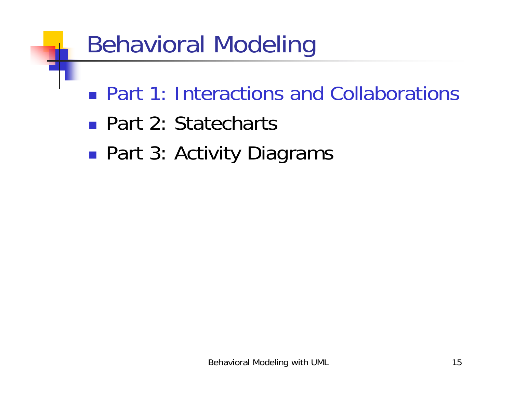#### Behavioral Modeling

- **Part 1: Interactions and Collaborations**
- Part 2: Statecharts
- *DESCRIPTION AND PROPERTY ARRANGEMENT* ■ Part 3: Activity Diagrams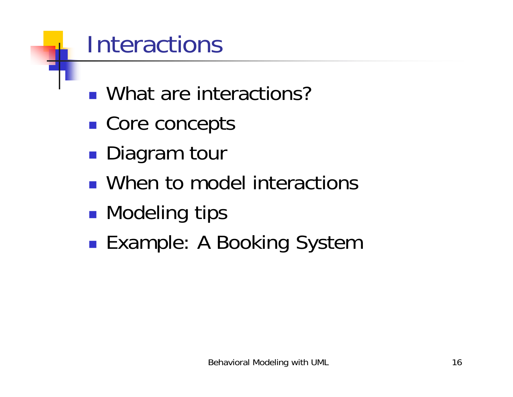#### **Interactions**

- What are interactions?
- *DESCRIPTION AND PROPERTY ARRANGEMENT* ■ Core concepts
- *DESCRIPTION AND PROPERTY ARRANGEMENT* **Diagram tour**
- **.** When to model interactions
- *DESCRIPTION AND PROPERTY ARRANGEMENT* **Nodeling tips**
- *DESCRIPTION AND PROPERTY ARRANGEMENT* ■ Example: A Booking System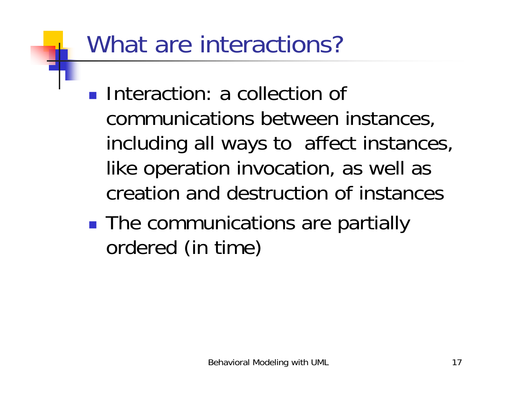#### What are interactions?

- **Interaction: a collection of** communications between instances, including all ways to affect instances, like operation invocation, as well as creation and destruction of instances
- **. The communications are partially** ordered (in time)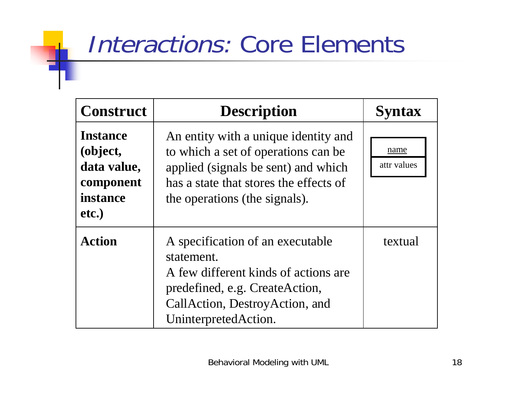#### Interactions: Core Elements

| <b>Construct</b>                                                             | <b>Description</b>                                                                                                                                                                            | <b>Syntax</b>       |
|------------------------------------------------------------------------------|-----------------------------------------------------------------------------------------------------------------------------------------------------------------------------------------------|---------------------|
| <b>Instance</b><br>(object,<br>data value,<br>component<br>instance<br>etc.) | An entity with a unique identity and<br>to which a set of operations can be<br>applied (signals be sent) and which<br>has a state that stores the effects of<br>the operations (the signals). | name<br>attr values |
| <b>Action</b>                                                                | A specification of an executable<br>statement.<br>A few different kinds of actions are<br>predefined, e.g. CreateAction,<br>CallAction, DestroyAction, and<br>UninterpretedAction.            | textual             |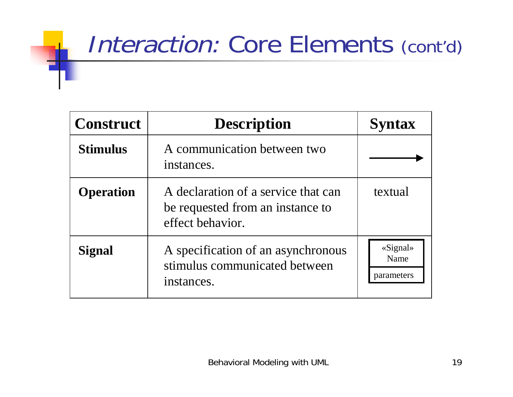#### Interaction: Core Elements (cont'd)

| <b>Construct</b> | <b>Description</b>                                                                          | <b>Syntax</b>                  |
|------------------|---------------------------------------------------------------------------------------------|--------------------------------|
| <b>Stimulus</b>  | A communication between two<br>instances.                                                   |                                |
| <b>Operation</b> | A declaration of a service that can<br>be requested from an instance to<br>effect behavior. | textual                        |
| <b>Signal</b>    | A specification of an asynchronous<br>stimulus communicated between<br>instances.           | «Signal»<br>Name<br>parameters |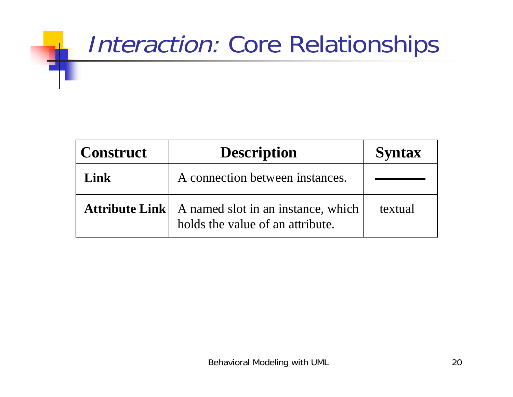#### Interaction: Core Relationships

| <b>Construct</b>      | <b>Description</b>                                                     | <b>Syntax</b> |
|-----------------------|------------------------------------------------------------------------|---------------|
| <b>Link</b>           | A connection between instances.                                        |               |
| <b>Attribute Link</b> | A named slot in an instance, which<br>holds the value of an attribute. | textual       |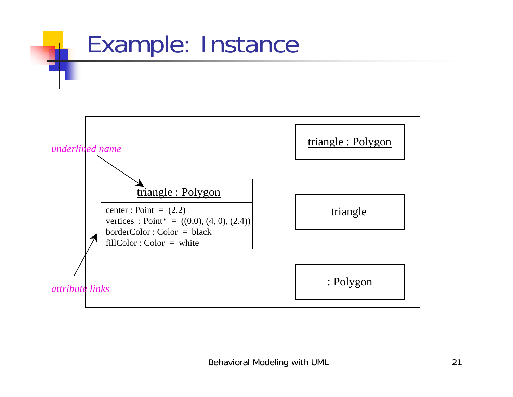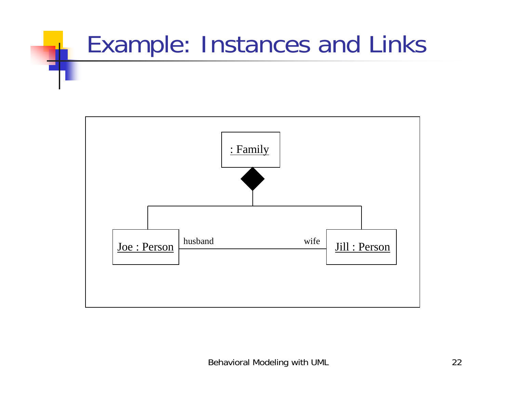# Example: Instances and Links

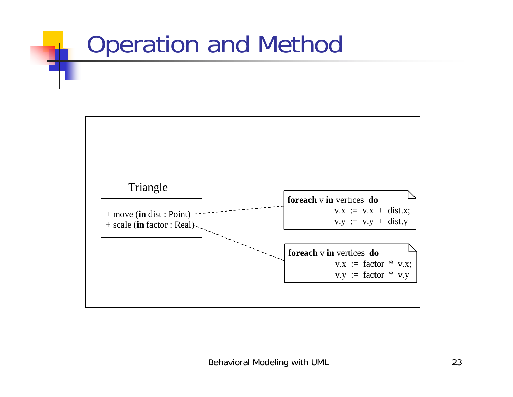# Operation and Method

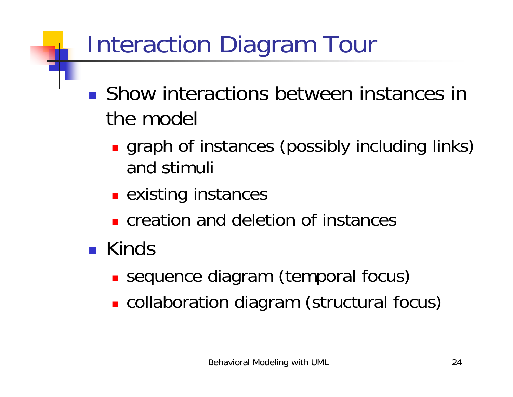# Interaction Diagram Tour

- **. Show interactions between instances in** the model
	- **.** graph of instances (possibly including links) and stimuli
	- **Existing instances**
	- **Execute 2 creation and deletion of instances**
- **.** Kinds
	- **.** sequence diagram (temporal focus)
	- **.** collaboration diagram (structural focus)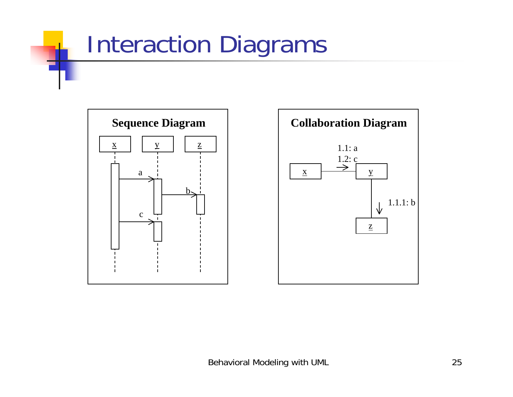#### Interaction Diagrams



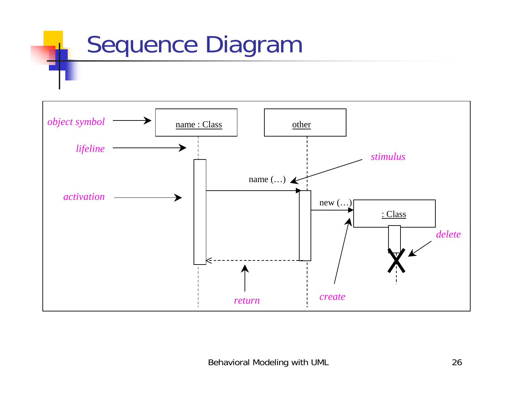#### Sequence Diagram

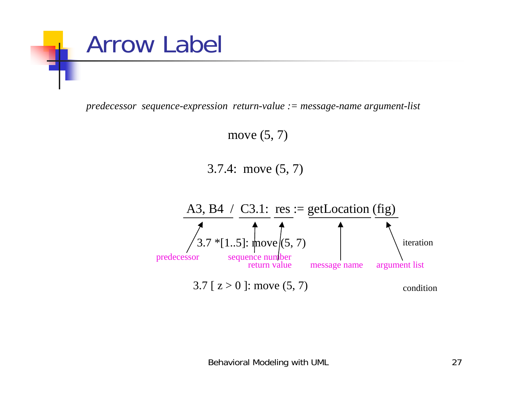

*predecessor sequence-expression return-value := message-name argument-list*

move (5, 7)

3.7.4: move (5, 7)

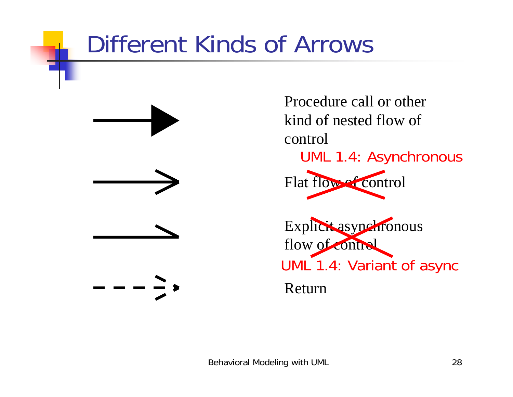#### Different Kinds of Arrows



Procedure call or other kind of nested flow of control Flat flow of control Explicit asynchronous flow of control ReturnUML 1.4: Asynchronous UML 1.4: Variant of async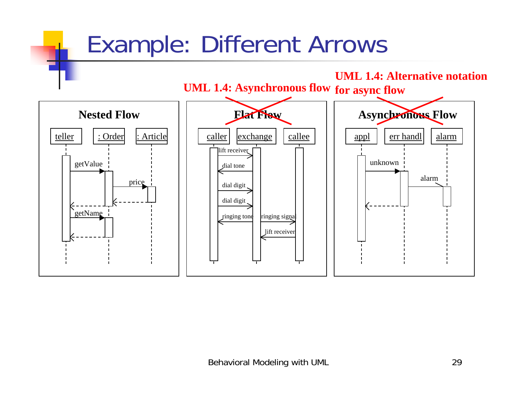#### Example: Different Arrows

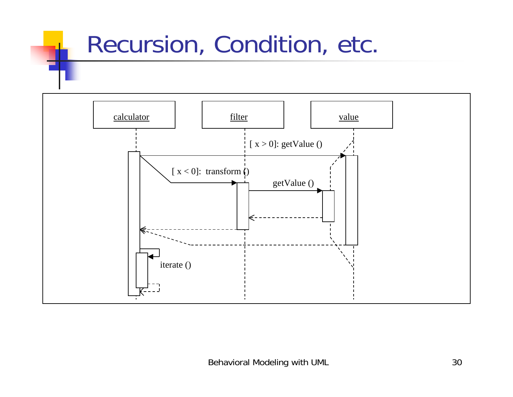#### Recursion, Condition, etc.

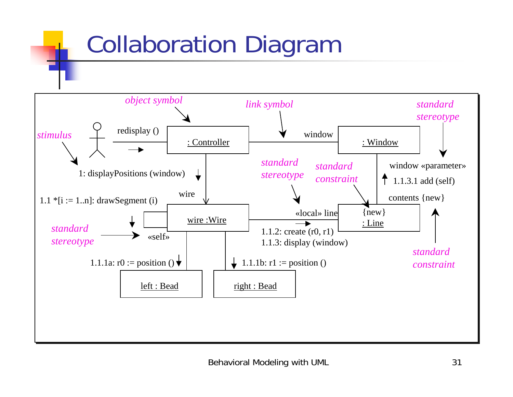#### Collaboration Diagram

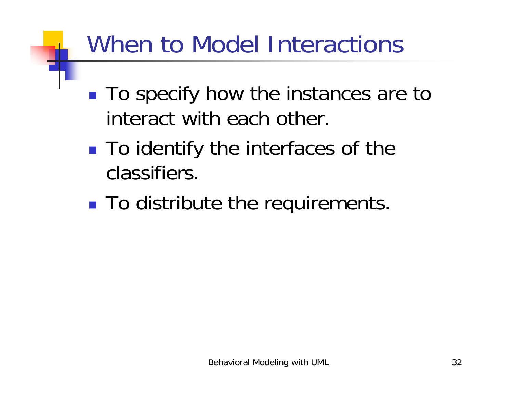#### When to Model Interactions

- !■ To specify how the instances are to interact with each other.
- !■ To identify the interfaces of the classifiers.
- **. To distribute the requirements.**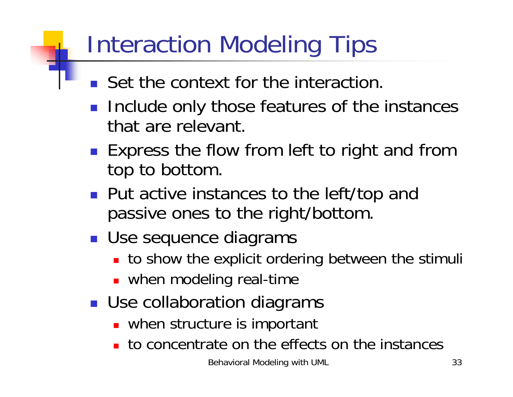#### Interaction Modeling Tips

- **.** Set the context for the interaction.
- **Include only those features of the instances** that are relevant.
- **Express the flow from left to right and from** top to bottom.
- **Put active instances to the left/top and** passive ones to the right/bottom.
- **Use sequence diagrams** 
	- **.** to show the explicit ordering between the stimuli
	- **.** when modeling real-time
- **Use collaboration diagrams** 
	- **.** when structure is important
	- **to concentrate on the effects on the instances**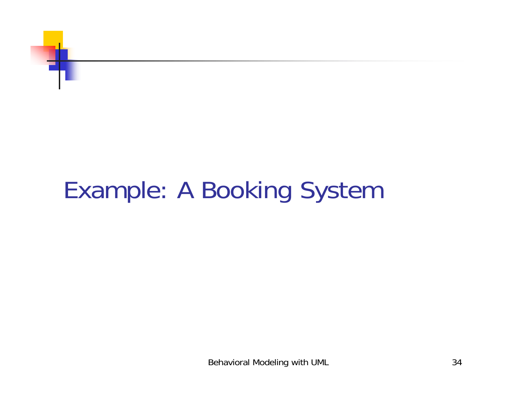

#### Example: A Booking System

Behavioral Modeling with UML 34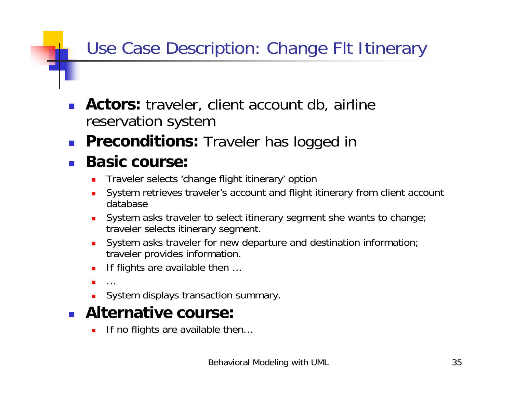#### Use Case Description: Change Flt Itinerary

- ! **Actors:** traveler, client account db, airline reservation system
- !**Preconditions:** Traveler has logged in

#### !**Basic course:**

- !Traveler selects 'change flight itinerary' option
- ! System retrieves traveler's account and flight itinerary from client account database
- ! System asks traveler to select itinerary segment she wants to change; traveler selects itinerary segment.
- !System asks traveler for new departure and destination information; traveler provides information.
- !If flights are available then …
- !…
- **.** System displays transaction summary.
- ! **Alternative course:**
	- !If no flights are available then…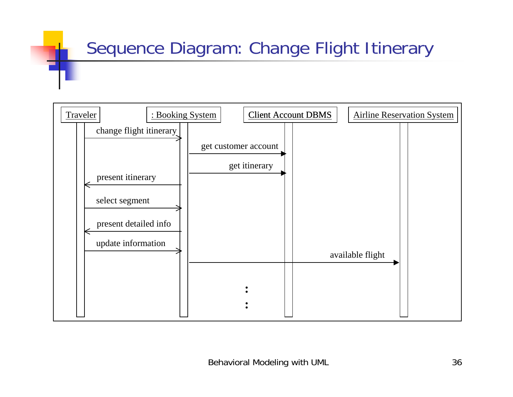#### Sequence Diagram: Change Flight Itinerary

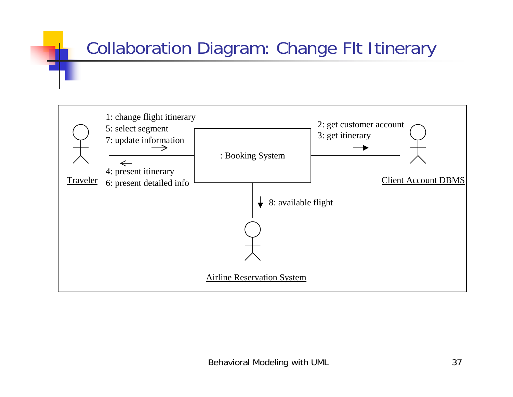#### Collaboration Diagram: Change Flt Itinerary

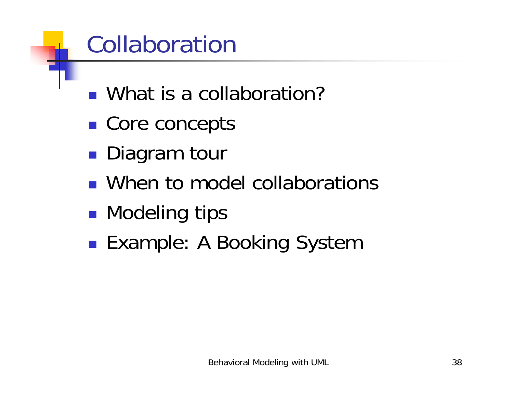# Collaboration

- What is a collaboration?
- *DESCRIPTION AND PROPERTY ARRANGEMENT* ■ Core concepts
- *DESCRIPTION AND PROPERTY ARRANGEMENT* **Diagram tour**
- **.** When to model collaborations
- *DESCRIPTION AND PROPERTY ARRANGEMENT* **Nodeling tips**
- *DESCRIPTION AND PROPERTY ARRANGEMENT* ■ Example: A Booking System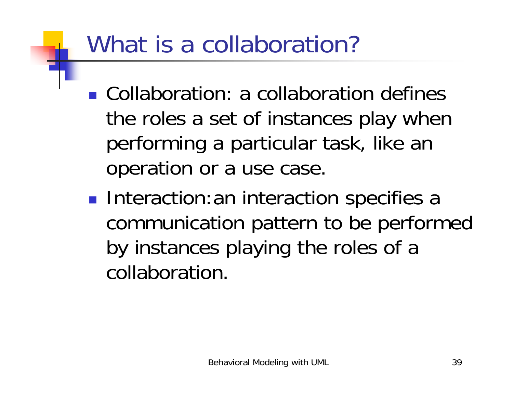# What is a collaboration?

- **.** Collaboration: a collaboration defines the roles a set of instances play when performing a particular task, like an operation or a use case.
- *DESCRIPTION AND PROPERTY ARRANGEMENT* **Interaction:an interaction specifies a** communication pattern to be performed by instances playing the roles of a collaboration.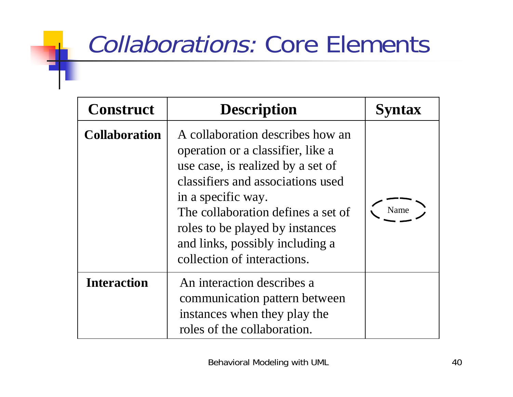# Collaborations: Core Elements

| <b>Construct</b>     | <b>Description</b>                                                                                                                                                                                                                                                                                               | <b>Syntax</b> |
|----------------------|------------------------------------------------------------------------------------------------------------------------------------------------------------------------------------------------------------------------------------------------------------------------------------------------------------------|---------------|
| <b>Collaboration</b> | A collaboration describes how an<br>operation or a classifier, like a<br>use case, is realized by a set of<br>classifiers and associations used<br>in a specific way.<br>The collaboration defines a set of<br>roles to be played by instances<br>and links, possibly including a<br>collection of interactions. | Name          |
| <b>Interaction</b>   | An interaction describes a<br>communication pattern between<br>instances when they play the<br>roles of the collaboration.                                                                                                                                                                                       |               |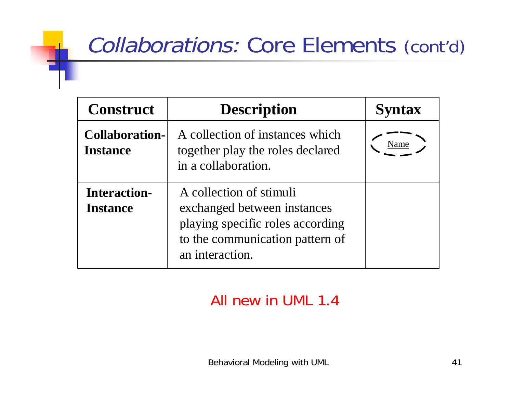## Collaborations: Core Elements (cont'd)

| <b>Construct</b>                         | <b>Description</b>                                                                                                                               | <b>Syntax</b> |
|------------------------------------------|--------------------------------------------------------------------------------------------------------------------------------------------------|---------------|
| <b>Collaboration-</b><br><b>Instance</b> | A collection of instances which<br>together play the roles declared<br>in a collaboration.                                                       |               |
| <b>Interaction-</b><br><b>Instance</b>   | A collection of stimuli<br>exchanged between instances<br>playing specific roles according<br>to the communication pattern of<br>an interaction. |               |

#### All new in UML 1.4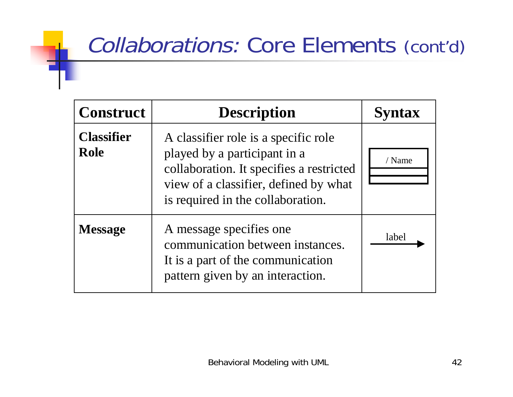## Collaborations: Core Elements (cont'd)

| <b>Construct</b>                 | <b>Description</b>                                                                                                                                                                             | <b>Syntax</b> |
|----------------------------------|------------------------------------------------------------------------------------------------------------------------------------------------------------------------------------------------|---------------|
| <b>Classifier</b><br><b>Role</b> | A classifier role is a specific role<br>played by a participant in a<br>collaboration. It specifies a restricted<br>view of a classifier, defined by what<br>is required in the collaboration. | / Name        |
| <b>Message</b>                   | A message specifies one<br>communication between instances.<br>It is a part of the communication<br>pattern given by an interaction.                                                           | label         |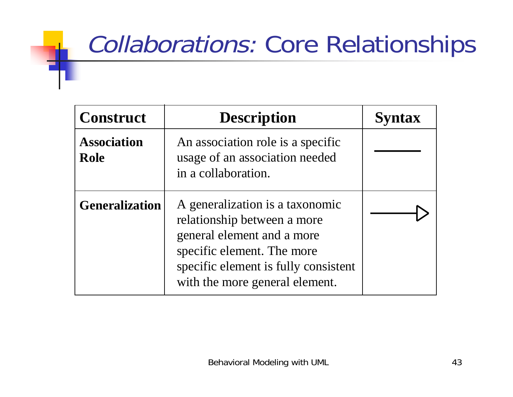# Collaborations: Core Relationships

| <b>Construct</b>                  | <b>Description</b>                                                                                                                                                                                   | <b>Syntax</b> |
|-----------------------------------|------------------------------------------------------------------------------------------------------------------------------------------------------------------------------------------------------|---------------|
| <b>Association</b><br><b>Role</b> | An association role is a specific<br>usage of an association needed<br>in a collaboration.                                                                                                           |               |
| <b>Generalization</b>             | A generalization is a taxonomic<br>relationship between a more<br>general element and a more<br>specific element. The more<br>specific element is fully consistent<br>with the more general element. |               |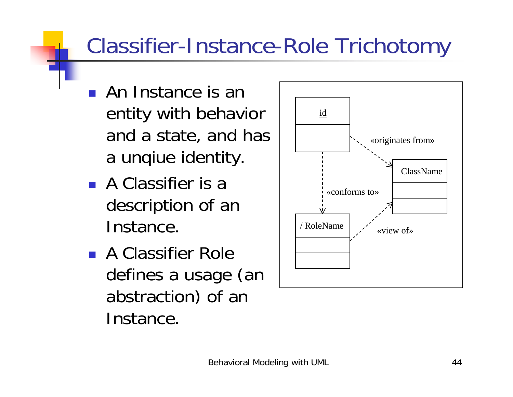## Classifier-Instance-Role Trichotomy

- **.** An Instance is an entity with behavior and a state, and has a unqiue identity.
- **A Classifier is a** description of an Instance.
- **A Classifier Role** defines a usage (an abstraction) of an Instance.

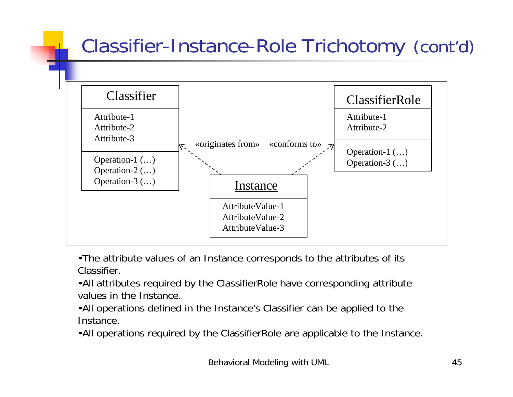#### Classifier-Instance-Role Trichotomy (cont'd)



•The attribute values of an Instance corresponds to the attributes of its Classifier.

•All attributes required by the ClassifierRole have corresponding attribute values in the Instance.

•All operations defined in the Instance's Classifier can be applied to the Instance.

•All operations required by the ClassifierRole are applicable to the Instance.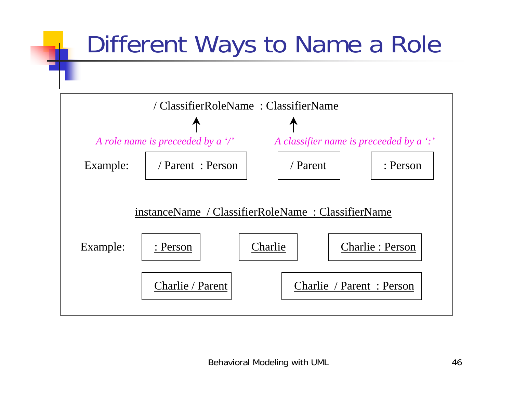# Different Ways to Name a Role

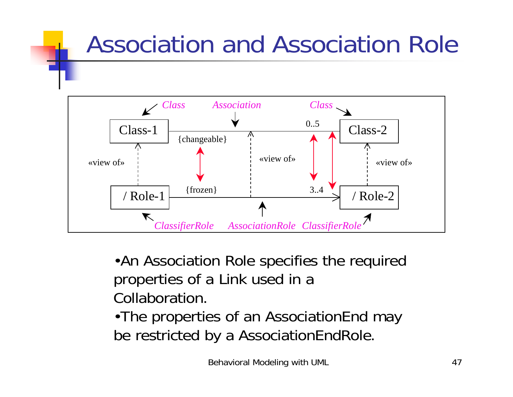# Association and Association Role



•An Association Role specifies the required properties of a Link used in a Collaboration.

•The properties of an AssociationEnd may be restricted by a AssociationEndRole.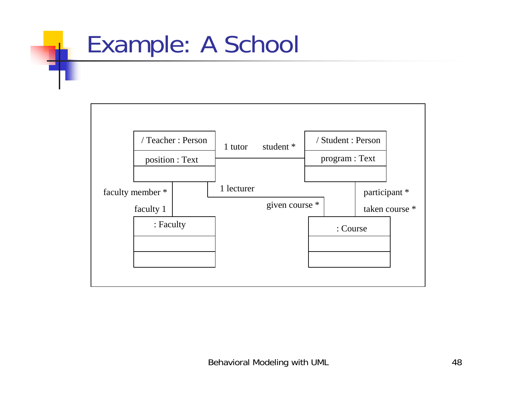# Example: A School

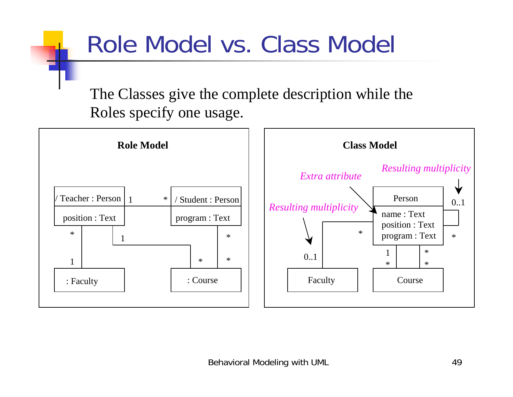# Role Model vs. Class Model

The Classes give the complete description while the Roles specify one usage.

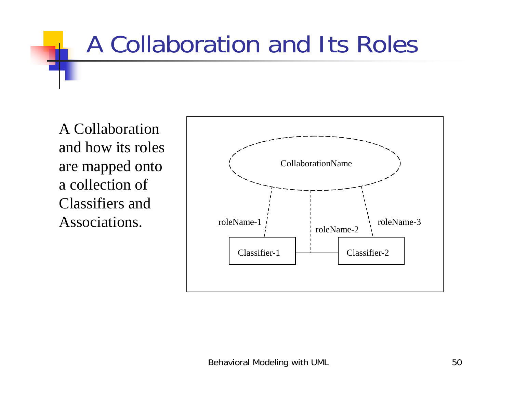# A Collaboration and Its Roles

A Collaboration and how its roles are mapped onto a collection of Classifiers and Associations.

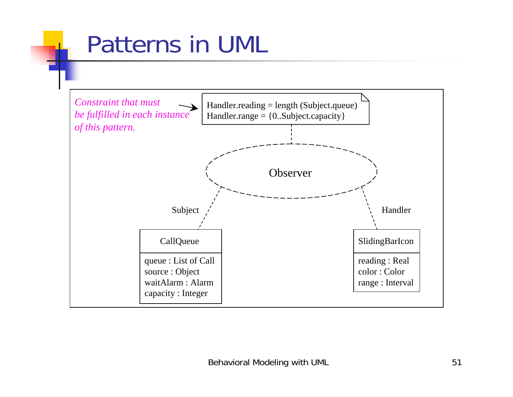# Patterns in UML

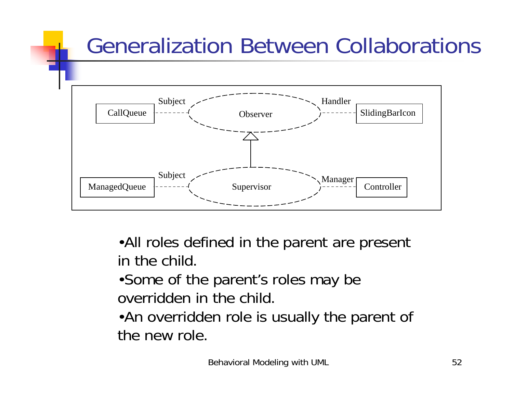## Generalization Between Collaborations



•All roles defined in the parent are present in the child.

•Some of the parent's roles may be overridden in the child.

•An overridden role is usually the parent of the new role.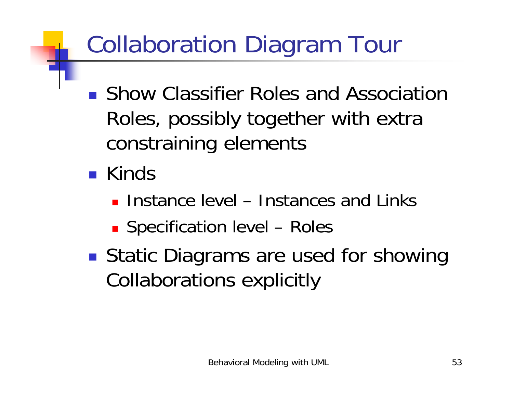# Collaboration Diagram Tour

- **. Show Classifier Roles and Association** Roles, possibly together with extra constraining elements
- **E** Kinds
	- **.** Instance level Instances and Links
	- **E** Specification level Roles
- *DESCRIPTION AND PROPERTY ARRANGEMENT* ■ Static Diagrams are used for showing Collaborations explicitly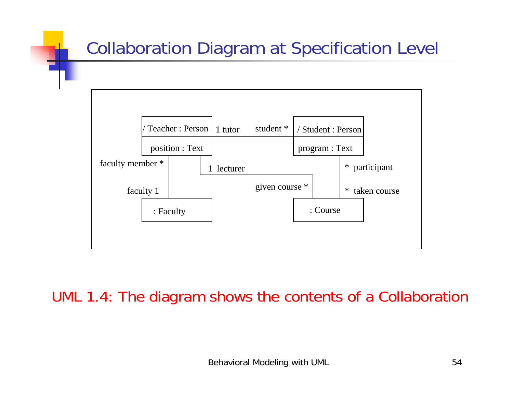

#### UML 1.4: The diagram shows the contents of a Collaboration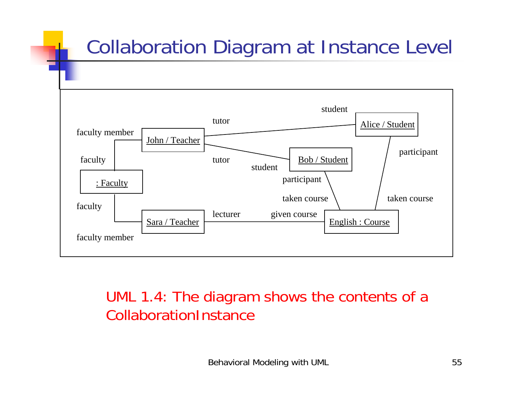### Collaboration Diagram at Instance Level



#### UML 1.4: The diagram shows the contents of a CollaborationInstance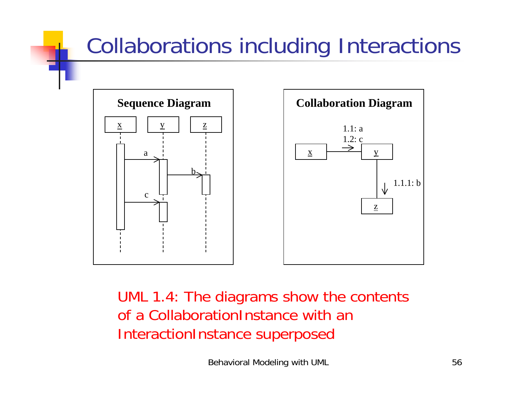## Collaborations including Interactions



UML 1.4: The diagrams show the contents of a CollaborationInstance with an InteractionInstance superposed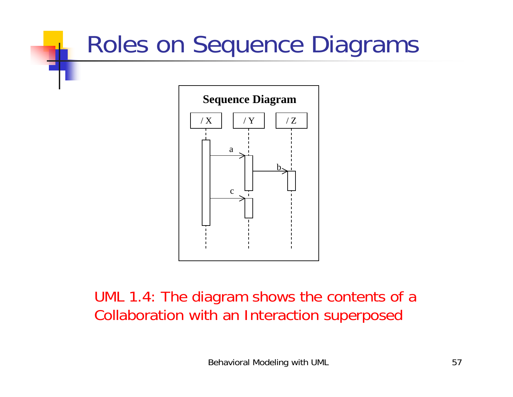# Roles on Sequence Diagrams



UML 1.4: The diagram shows the contents of a Collaboration with an Interaction superposed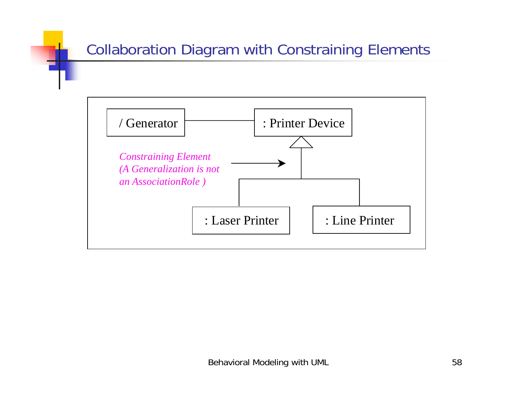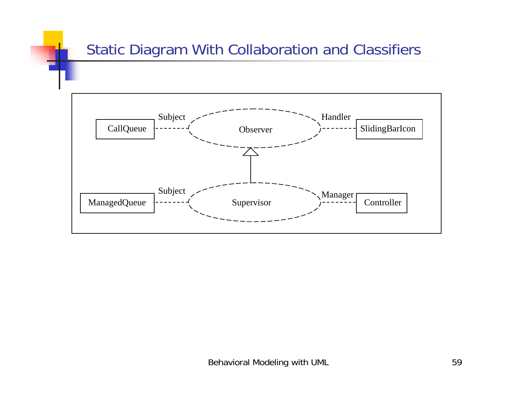#### Static Diagram With Collaboration and Classifiers

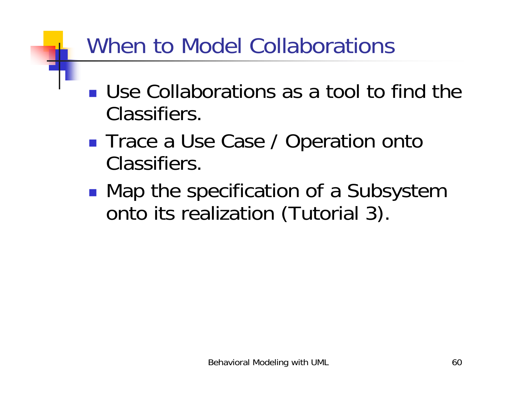## When to Model Collaborations

- **.** Use Collaborations as a tool to find the Classifiers.
- **. Trace a Use Case / Operation onto** Classifiers.
- !■ Map the specification of a Subsystem onto its realization (Tutorial 3).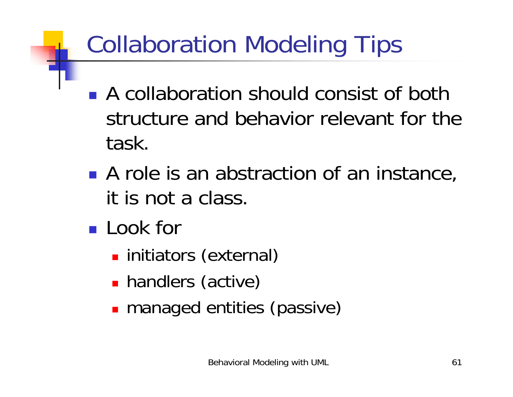# Collaboration Modeling Tips

- **A collaboration should consist of both** structure and behavior relevant for the task.
- **A** role is an abstraction of an instance, it is not a class.
- **Look for** 
	- **.** initiators (external)
	- **handlers (active)**
	- **nanaged entities (passive)**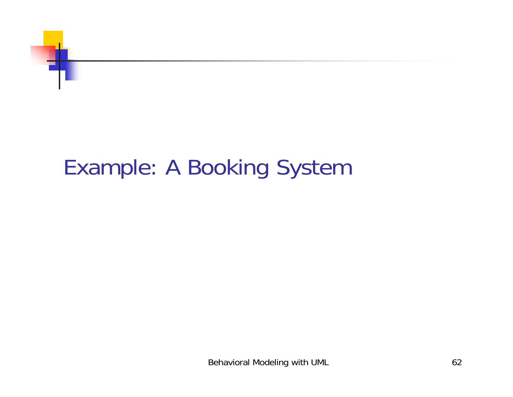

## Example: A Booking System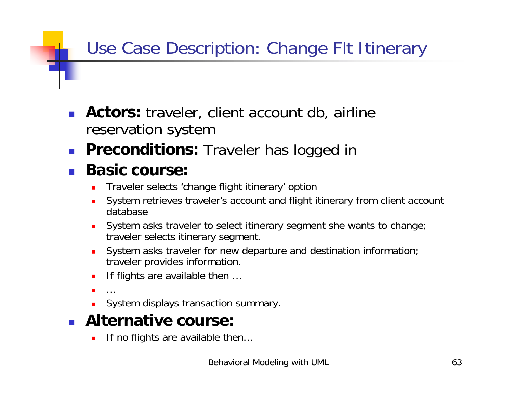#### Use Case Description: Change Flt Itinerary

- **Actors:** traveler, client account db, airline reservation system
- !**Preconditions:** Traveler has logged in

#### !**Basic course:**

- !Traveler selects 'change flight itinerary' option
- System retrieves traveler's account and flight itinerary from client account database
- ! System asks traveler to select itinerary segment she wants to change; traveler selects itinerary segment.
- !System asks traveler for new departure and destination information; traveler provides information.
- !If flights are available then …
- !…
- !System displays transaction summary.

#### ! **Alternative course:**

!If no flights are available then…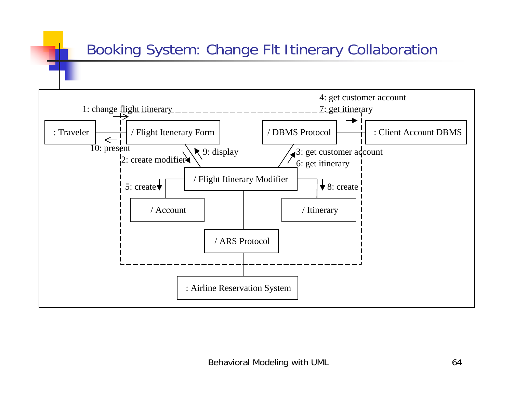#### Booking System: Change Flt Itinerary Collaboration

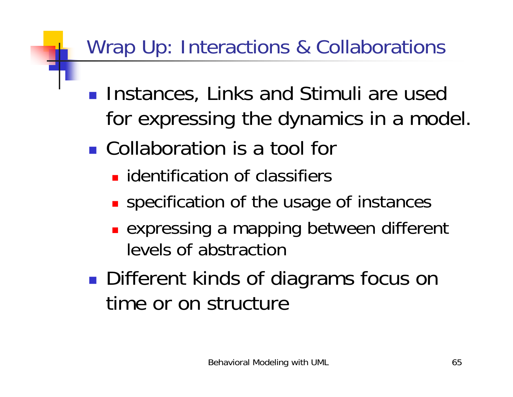### Wrap Up: Interactions & Collaborations

- **. Instances, Links and Stimuli are used** for expressing the dynamics in a model.
- **.** Collaboration is a tool for
	- **I** identification of classifiers
	- **.** specification of the usage of instances
	- **Expressing a mapping between different** levels of abstraction
- *DESCRIPTION AND PROPERTY ARRANGEMENT* ■ Different kinds of diagrams focus on time or on structure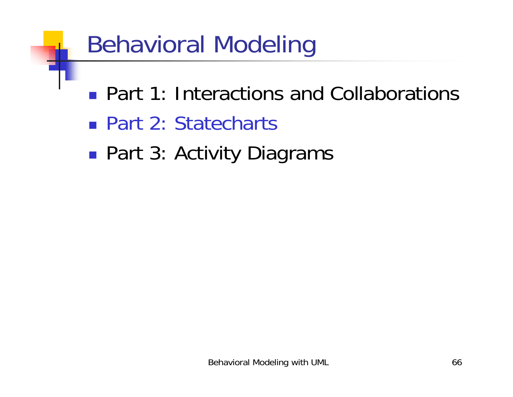# Behavioral Modeling

- **Part 1: Interactions and Collaborations**
- Part 2: Statecharts
- *DESCRIPTION AND PROPERTY ARRANGEMENT* ■ Part 3: Activity Diagrams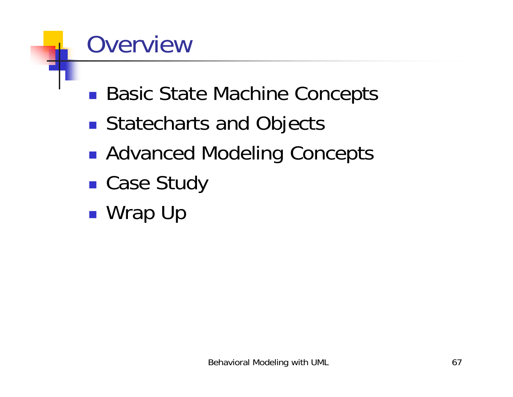# Overview

- !■ Basic State Machine Concepts
- *DESCRIPTION AND PROPERTY ARRANGEMENT* **Statecharts and Objects**
- *DESCRIPTION AND PROPERTY ARRANGEMENT* ■ Advanced Modeling Concepts
- !■ Case Study
- *DESCRIPTION AND PROPERTY ARRANGEMENT* ■ Wrap Up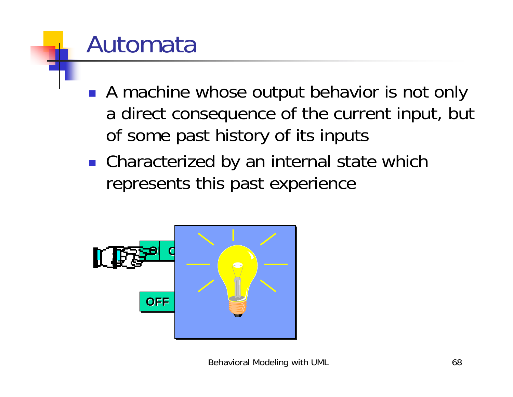# Automata

- **A machine whose output behavior is not only** a direct consequence of the current input, but of some past history of its inputs
- **.** Characterized by an internal state which represents this past experience

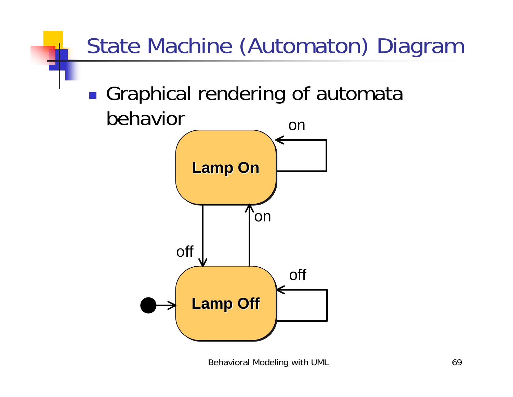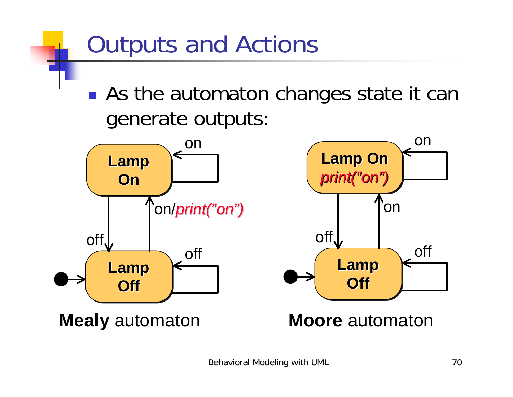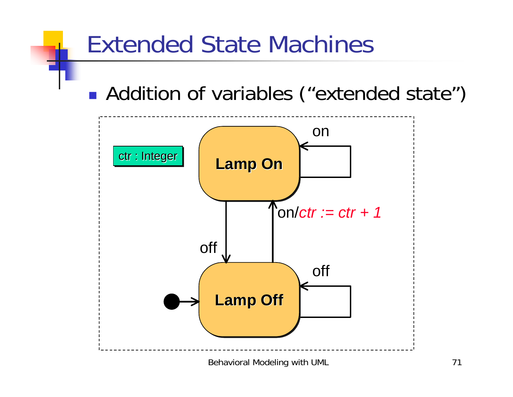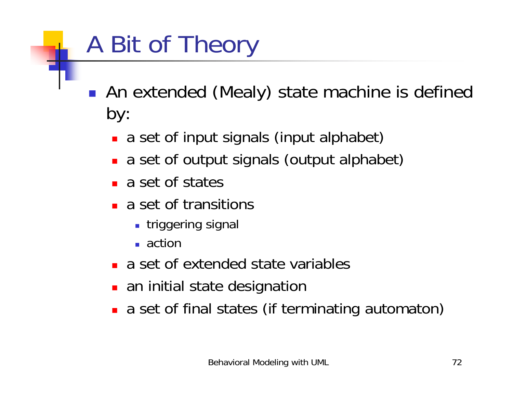# A Bit of Theory

- **An extended (Mealy) state machine is defined** by:
	- **a** a set of input signals (input alphabet)
	- **a** a set of output signals (output alphabet)
	- **a** set of states
	- **a** set of transitions
		- **.** triggering signal
		- $\blacksquare$  action
	- **a** a set of extended state variables
	- **.** an initial state designation
	- **a** a set of final states (if terminating automaton)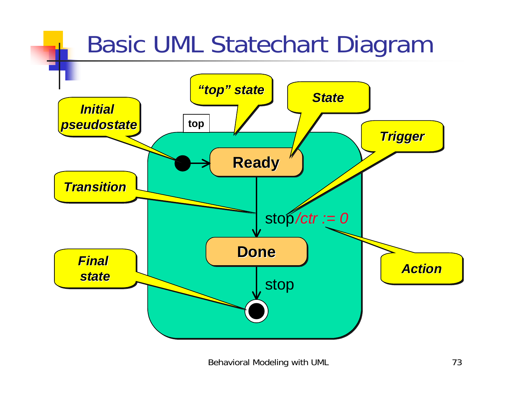#### Basic UML Statechart Diagram *State State"top" state "top" state "top" state*

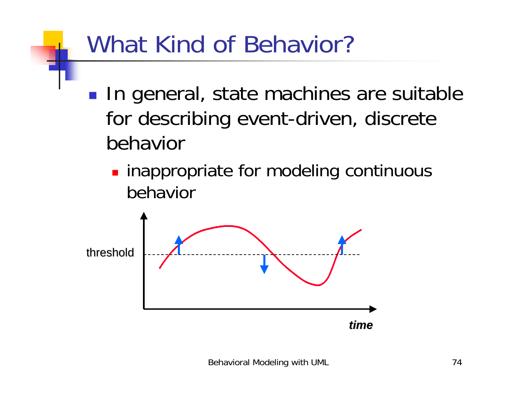#### What Kind of Behavior?

- !**In general, state machines are suitable** for describing event-driven, discrete behavior
	- **. inappropriate for modeling continuous** behavior

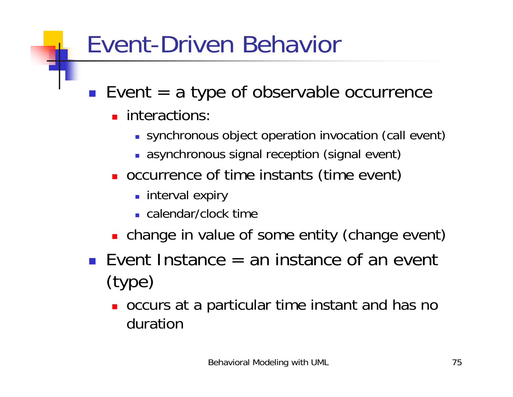#### Event-Driven Behavior

- $\blacksquare$  Event = a type of observable occurrence
	- **n** interactions:
		- **.** synchronous object operation invocation (call event)
		- **.** asynchronous signal reception (signal event)
	- **.** occurrence of time instants (time event)
		- **.** interval expiry
		- **E** calendar/clock time
	- **.** change in value of some entity (change event)
- **E** Event Instance  $=$  an instance of an event (type)
	- **.** occurs at a particular time instant and has no duration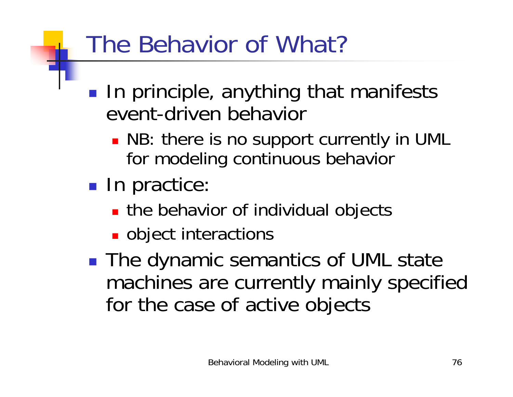### The Behavior of What?

- **In the contract of the contract of the contract of the contract of the contract of the contract of the contract In principle, anything that manifests** event-driven behavior
	- . NB: there is no support currently in UML for modeling continuous behavior
- **In the contract of the contract of the contract of the contract of the contract of the contract of the contract In practice:** 
	- **If the behavior of individual objects**
	- **.** object interactions
- **In the contract of the contract of the contract of the contract of the contract of the contract of the contract** ■ The dynamic semantics of UML state machines are currently mainly specified for the case of active objects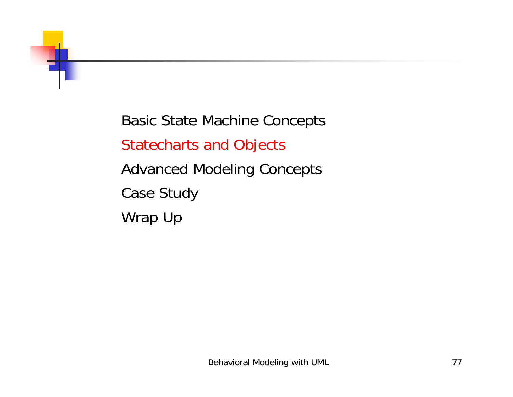Basic State Machine Concepts Statecharts and Objects Advanced Modeling Concepts Case Study Wrap Up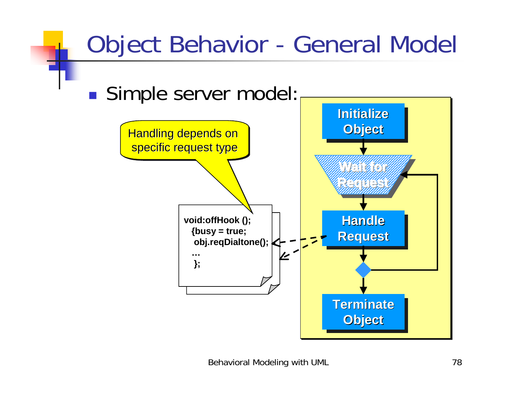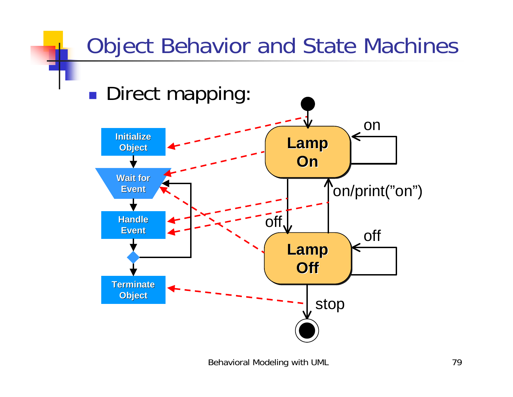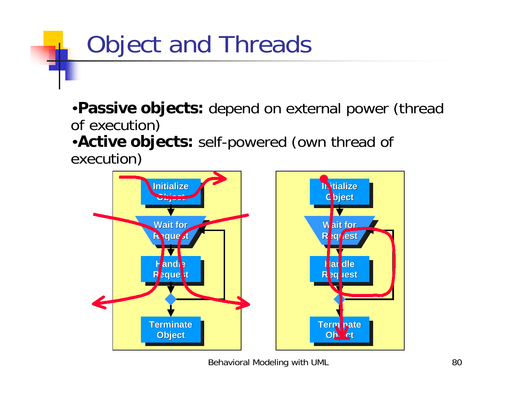# Object and Threads

•**Passive objects:** depend on external power (thread of execution)

•**Active objects:** self-powered (own thread of execution)

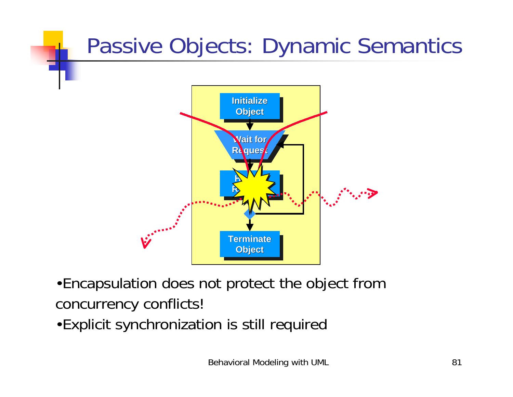#### Passive Objects: Dynamic Semantics



- •Encapsulation does not protect the object from concurrency conflicts!
- •Explicit synchronization is still required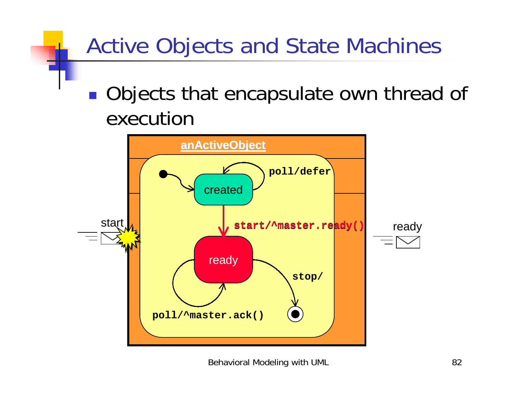#### Active Objects and State Machines

!**Objects that encapsulate own thread of** execution

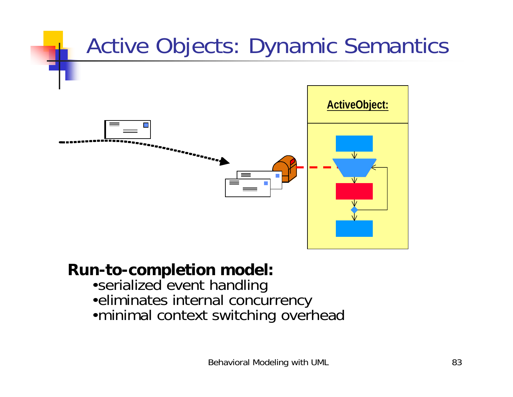

#### **Run-to-completion model:**

- •serialized event handling
- •eliminates internal concurrency
- •minimal context switching overhead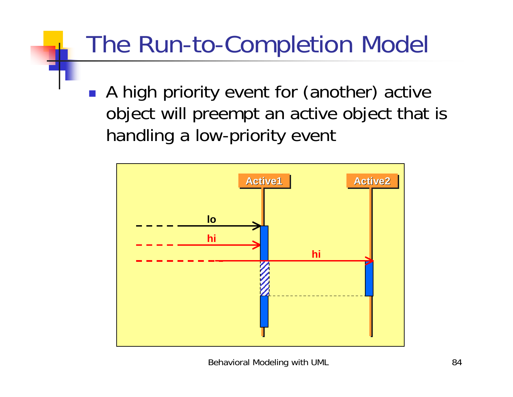### The Run-to-Completion Model

**• A high priority event for (another) active** object will preempt an active object that is handling a low-priority event

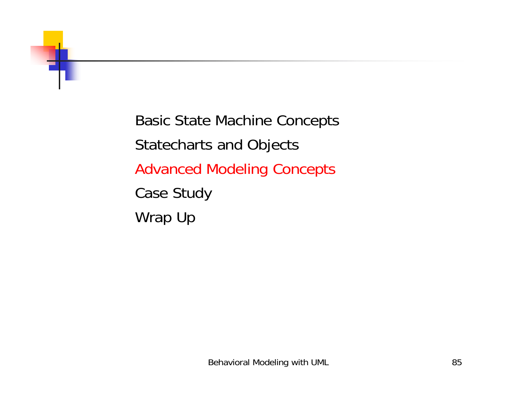

Basic State Machine Concepts Statecharts and Objects Advanced Modeling Concepts Case Study Wrap Up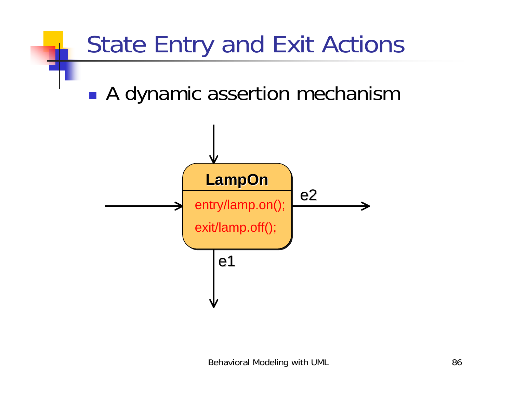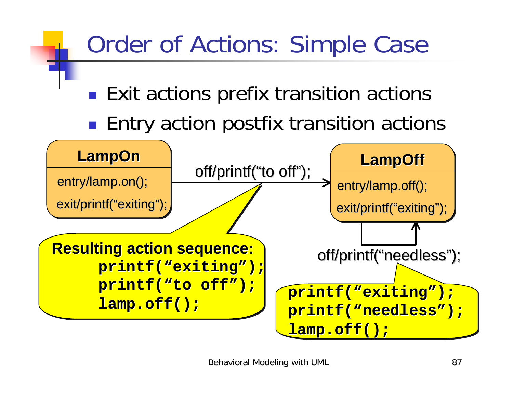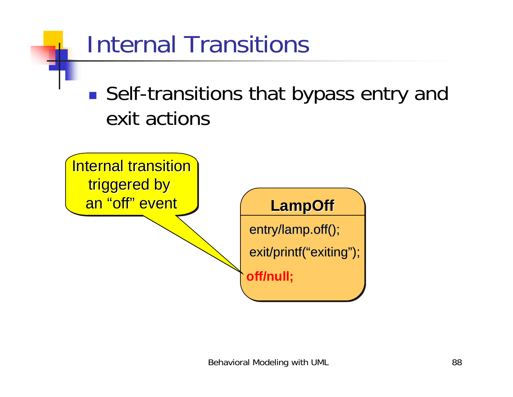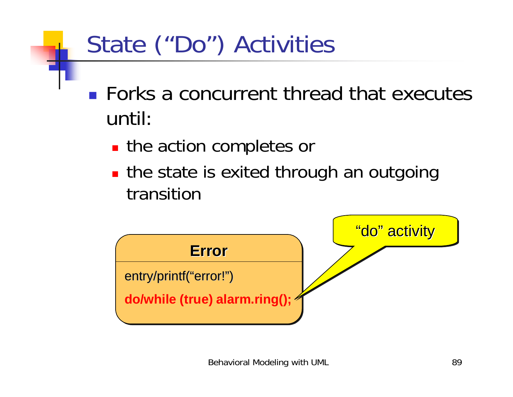# State ("Do") Activities

- **EXECUTE EXECUTE:** Forks a concurrent thread that executes until:
	- **.** the action completes or
	- **.** the state is exited through an outgoing transition

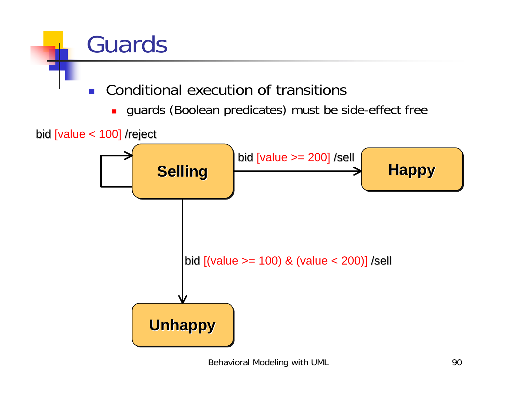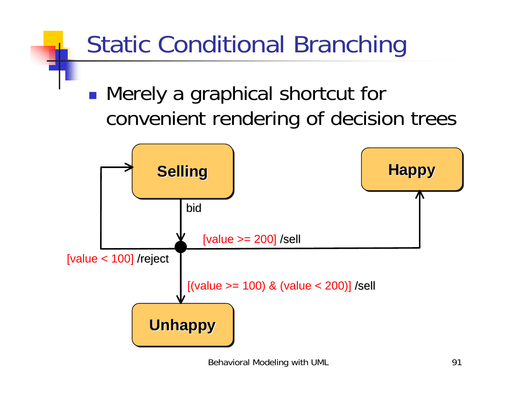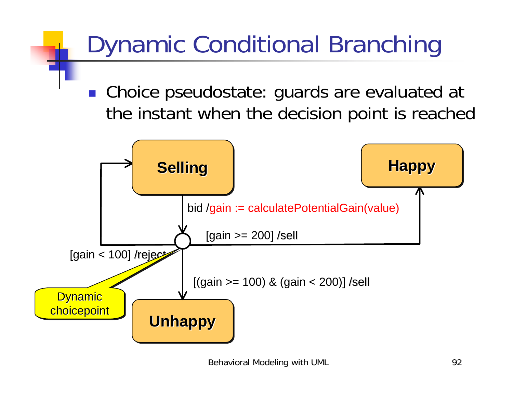### Dynamic Conditional Branching

■ Choice pseudostate: guards are evaluated at the instant when the decision point is reached

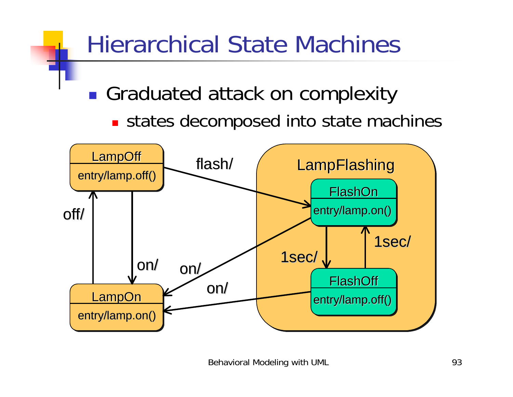

Behavioral Modeling with UML 93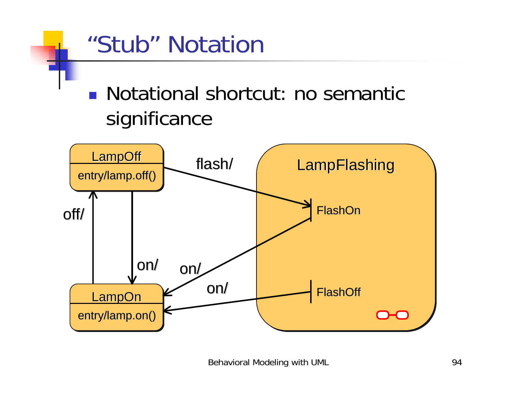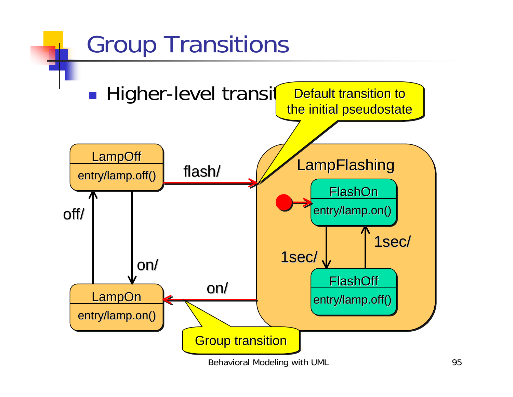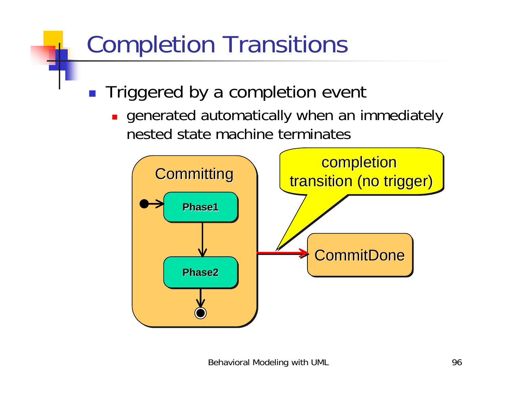### Completion Transitions

- **Triggered by a completion event** 
	- **.** generated automatically when an immediately nested state machine terminates

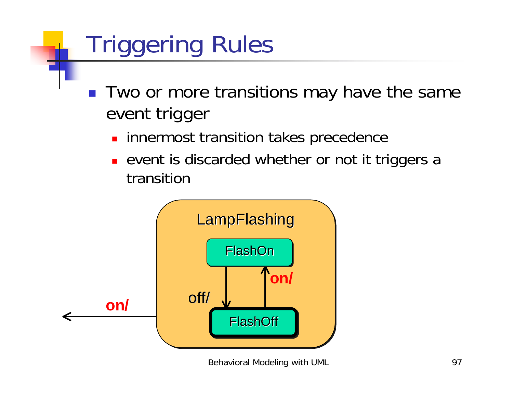# Triggering Rules

- Two or more transitions may have the same event trigger
	- **. innermost transition takes precedence**
	- **.** event is discarded whether or not it triggers a transition

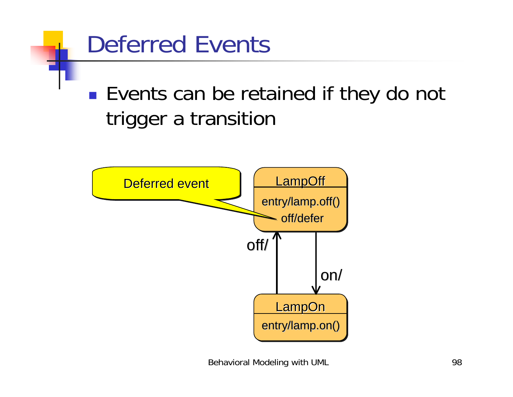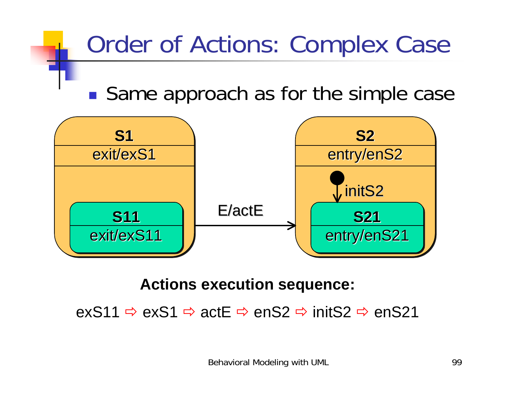### Order of Actions: Complex Case

!■ Same approach as for the simple case



#### **Actions execution sequence:**

exS11" exS1 " actE " enS2 " initS2 " enS21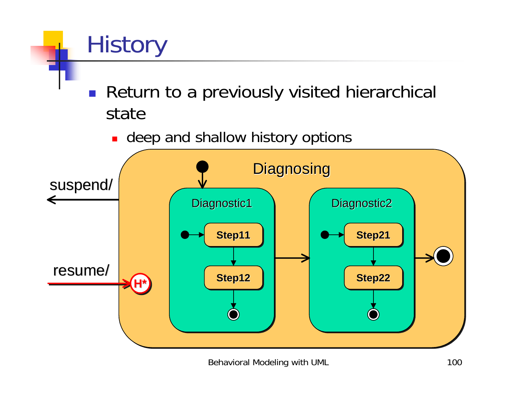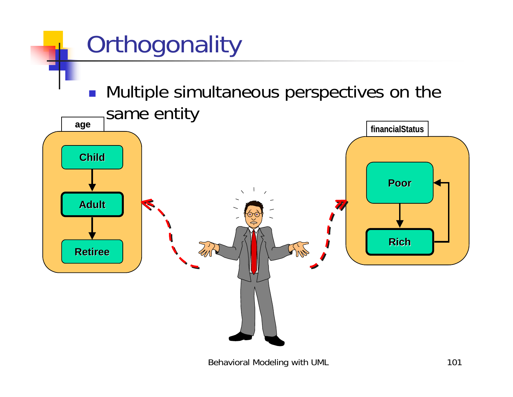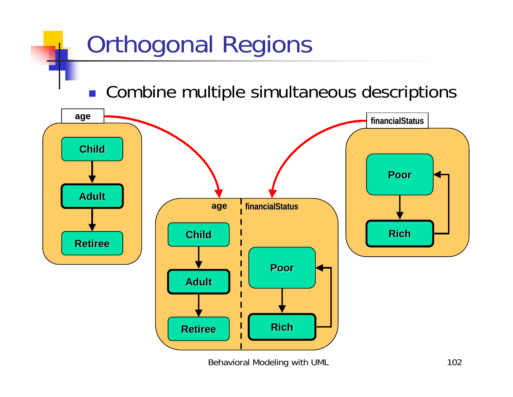#### Orthogonal Regions **. Combine multiple simultaneous descriptions ChildAdult Retiree Retireeage Poor Rich financialStatus financialStatus PoorRich financialStatus financialStatus Child Adult Retiree Retiree age**

Behavioral Modeling with UML 102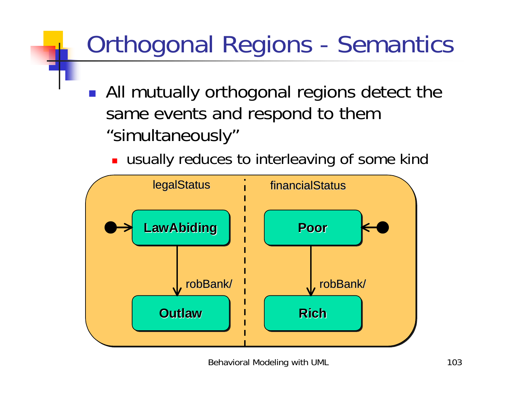## Orthogonal Regions - Semantics

- **.** All mutually orthogonal regions detect the same events and respond to them "simultaneously"
	- **.** usually reduces to interleaving of some kind

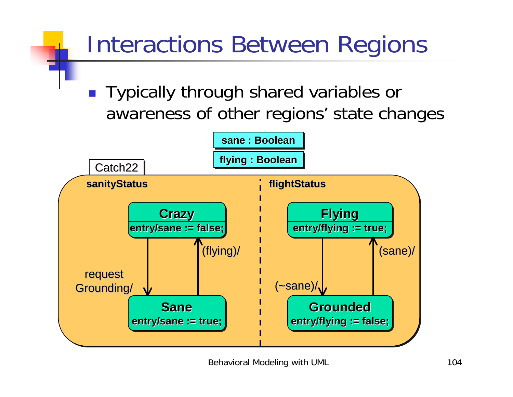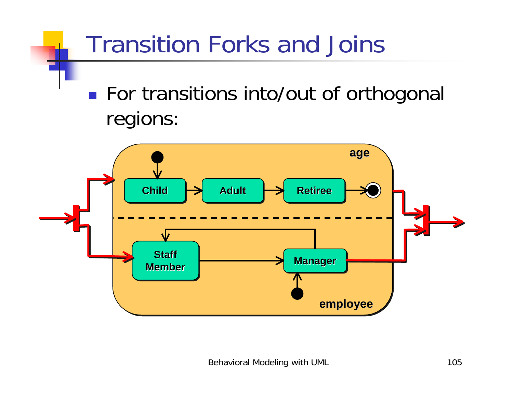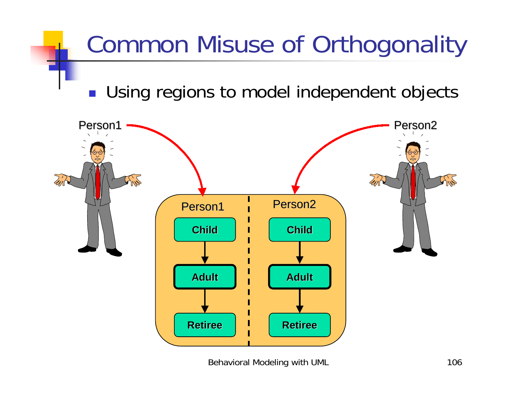#### Common Misuse of Orthogonality

**.** Using regions to model independent objects

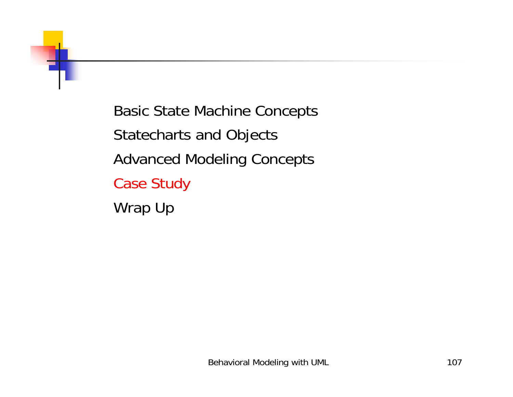

Basic State Machine Concepts Statecharts and Objects Advanced Modeling Concepts Case Study Wrap Up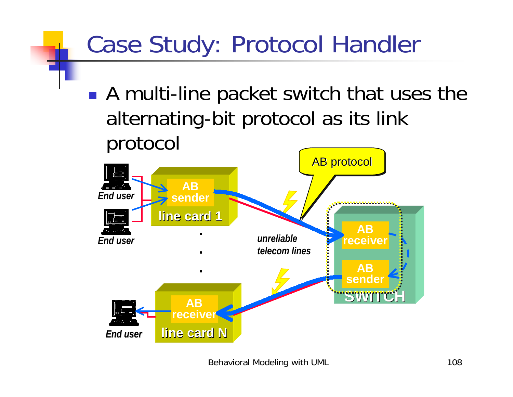# Case Study: Protocol Handler

!■ A multi-line packet switch that uses the alternating-bit protocol as its link protocol

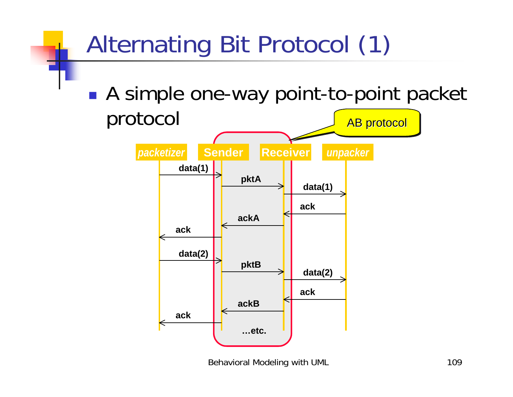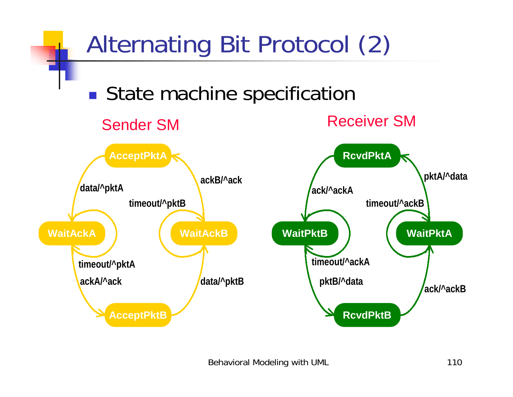

Behavioral Modeling with UML 110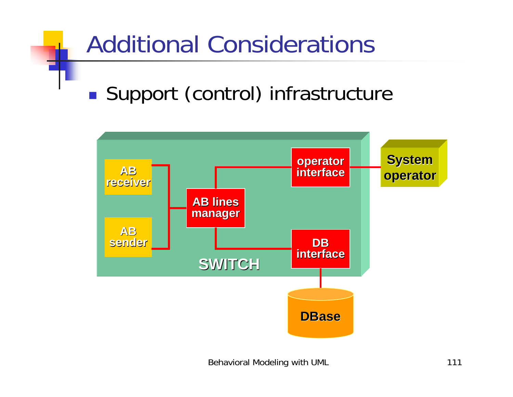#### Additional Considerations !**Support (control) infrastructure**

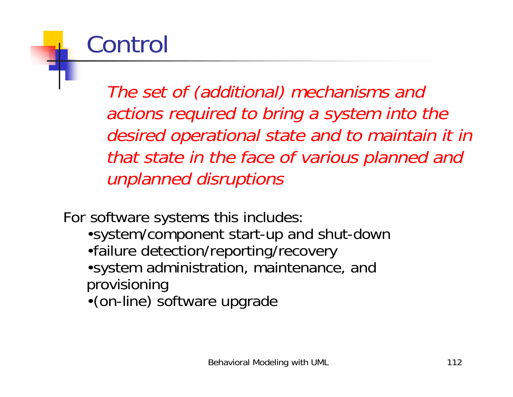# Control

The set of (additional) mechanisms and actions required to bring a system into the desired operational state and to maintain it in that state in the face of various planned and unplanned disruptions

For software systems this includes:

- •system/component start-up and shut-down
- •failure detection/reporting/recovery
- •system administration, maintenance, and provisioning
- •(on-line) software upgrade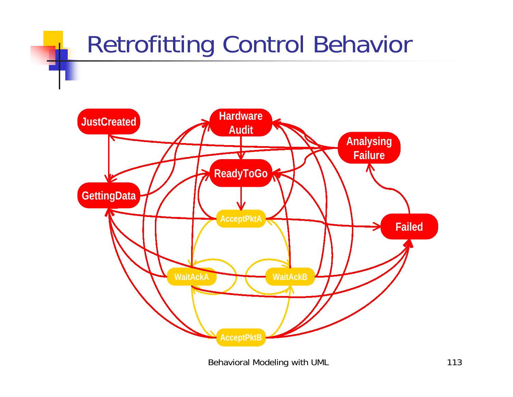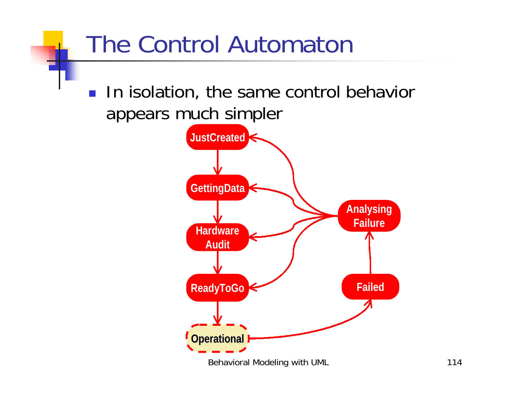#### The Control Automaton **I.** In isolation, the same control behavior appears much simpler **Failed JustCreated Hardware AuditGettingData ReadyToGo Analysing Failure Operational Operational**

Behavioral Modeling with UML 114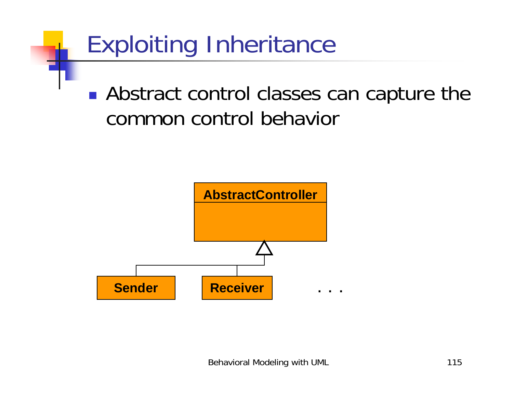

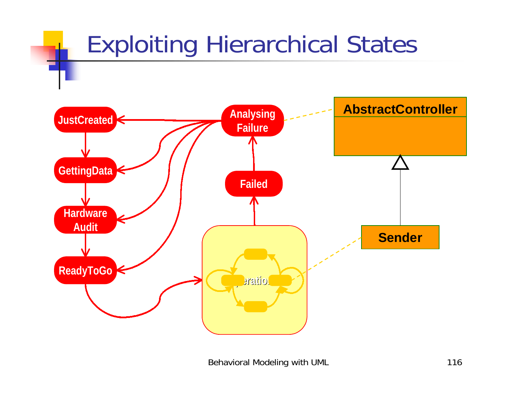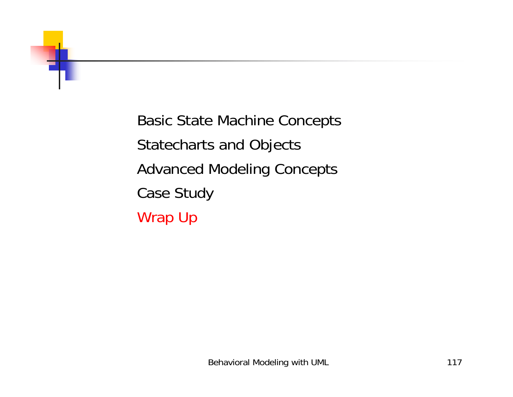

Basic State Machine Concepts Statecharts and Objects Advanced Modeling Concepts Case Study Wrap Up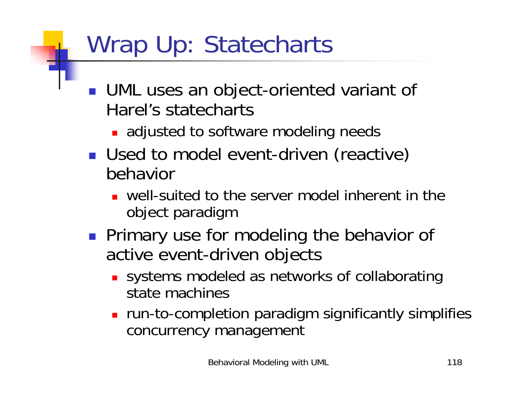# Wrap Up: Statecharts

- **. UML uses an object-oriented variant of** Harel's statecharts
	- **.** adjusted to software modeling needs
- **I** Used to model event-driven (reactive) behavior
	- $\blacksquare$  well-suited to the server model inherent in the object paradigm
- **Primary use for modeling the behavior of** active event-driven objects
	- **.** systems modeled as networks of collaborating state machines
	- **•** run-to-completion paradigm significantly simplifies concurrency management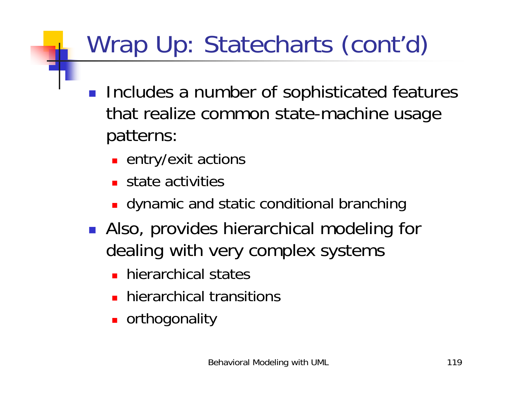# Wrap Up: Statecharts (cont'd)

- **Includes a number of sophisticated features** that realize common state-machine usage patterns:
	- **E** entry/exit actions
	- **E** state activities
	- **.** dynamic and static conditional branching
- **.** Also, provides hierarchical modeling for dealing with very complex systems
	- **.** hierarchical states
	- **E** hierarchical transitions
	- **.** orthogonality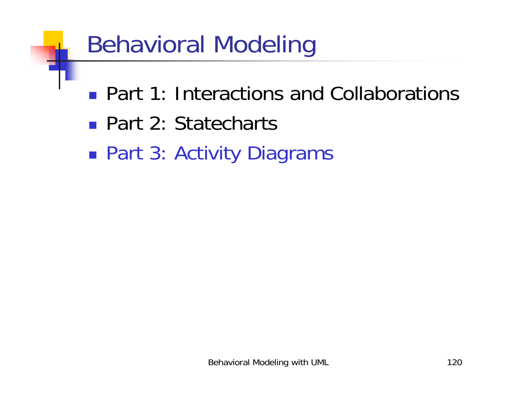## Behavioral Modeling

- **Part 1: Interactions and Collaborations**
- Part 2: Statecharts
- *DESCRIPTION AND PROPERTY ARRANGEMENT* ■ Part 3: Activity Diagrams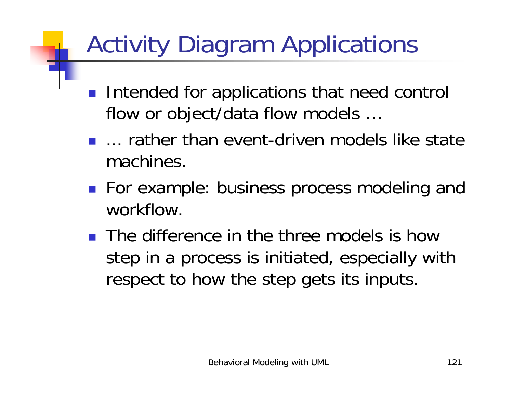# Activity Diagram Applications

- **Intended for applications that need control** flow or object/data flow models …
- **...** rather than event-driven models like state machines.
- For example: business process modeling and workflow.
- **.** The difference in the three models is how step in a process is initiated, especially with respect to how the step gets its inputs.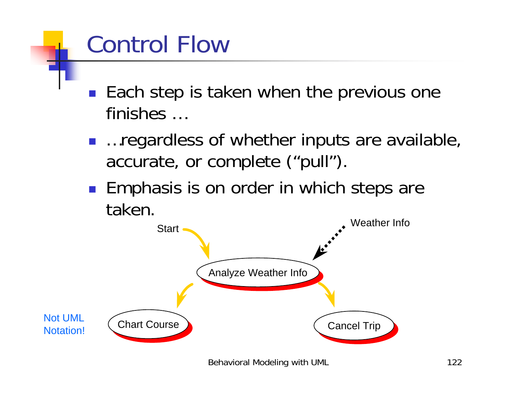# Control Flow

- **Each step is taken when the previous one** finishes …
- …regardless of whether inputs are available, accurate, or complete ("pull").
- **Emphasis is on order in which steps are** taken.

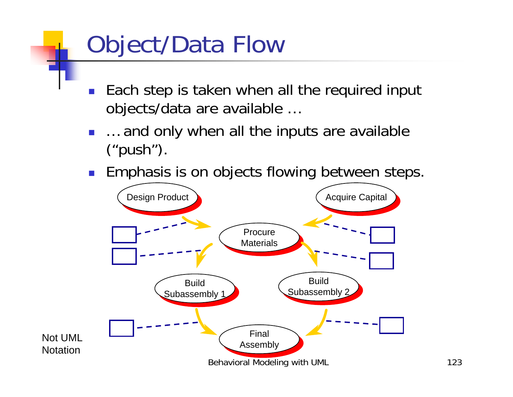# Object/Data Flow

- ! Each step is taken when all the required input objects/data are available …
- ! … and only when all the inputs are available ("push").
- **Emphasis is on objects flowing between steps.**

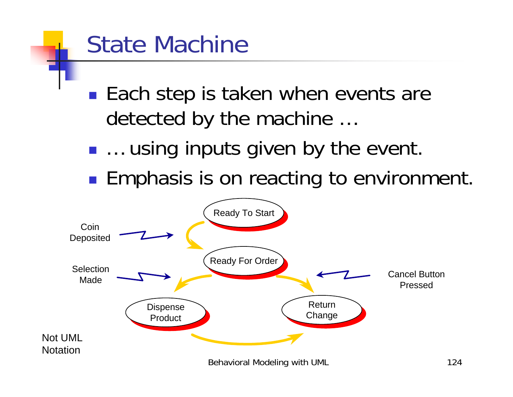### State Machine

- !■ Each step is taken when events are detected by the machine …
- !… using inputs given by the event.
- *DESCRIPTION AND PROPERTY ARRANGEMENT* **Emphasis is on reacting to environment.**

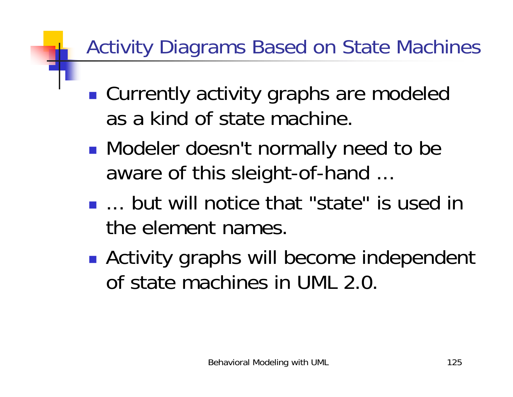#### Activity Diagrams Based on State Machines

- !■ Currently activity graphs are modeled as a kind of state machine.
- !**Nodeler doesn't normally need to be** aware of this sleight-of-hand ...
- **...** but will notice that "state" is used in the element names.
- **. • Activity graphs will become independent** of state machines in UML 2.0.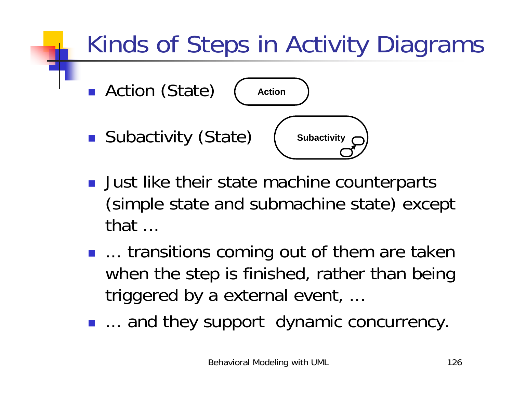# Kinds of Steps in Activity Diagrams



- **.** Just like their state machine counterparts (simple state and submachine state) except that ...
- **...** transitions coming out of them are taken when the step is finished, rather than being triggered by a external event, ...
- **...** and they support dynamic concurrency.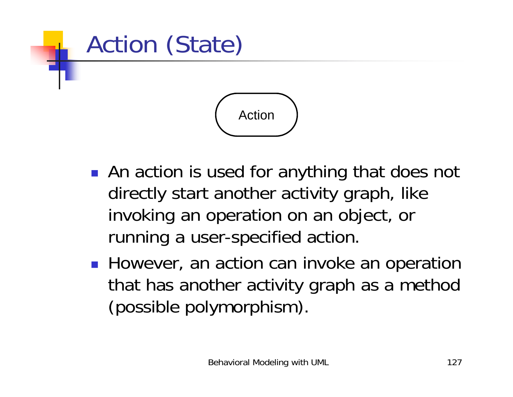

- **.** An action is used for anything that does not directly start another activity graph, like invoking an operation on an object, or running a user-specified action.
- **.** However, an action can invoke an operation that has another activity graph as a method (possible polymorphism).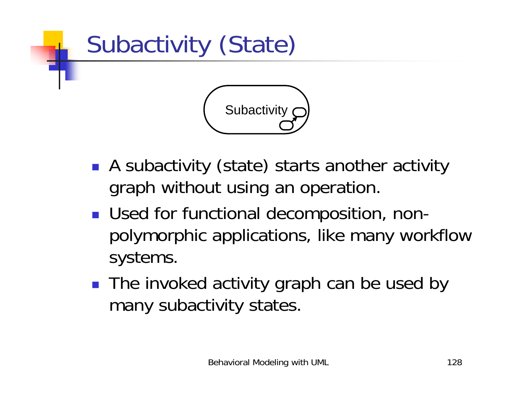

- **A** subactivity (state) starts another activity graph without using an operation.
- **Used for functional decomposition, non**polymorphic applications, like many workflow systems.
- The invoked activity graph can be used by many subactivity states.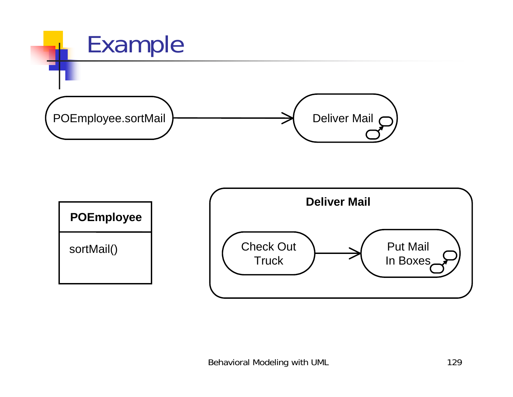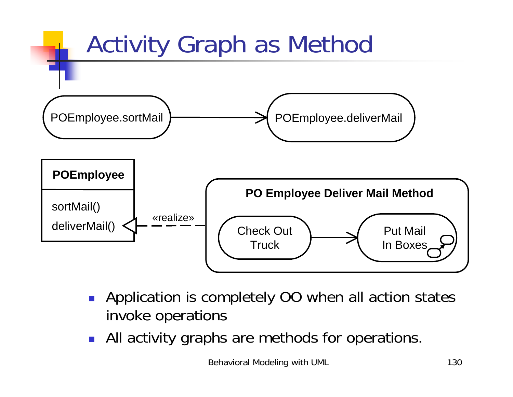

- **.** Application is completely OO when all action states invoke operations
- **.** All activity graphs are methods for operations.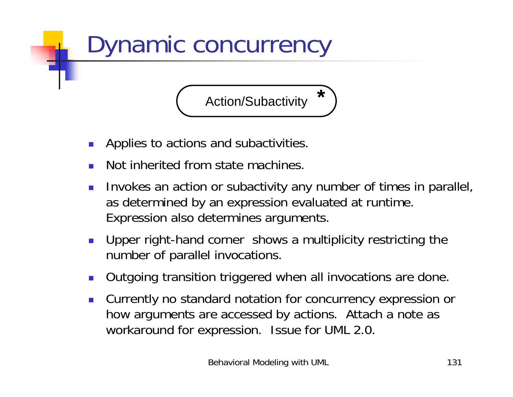

- Applies to actions and subactivities.
- !Not inherited from state machines.
- ! Invokes an action or subactivity any number of times in parallel, as determined by an expression evaluated at runtime. Expression also determines arguments.
- ! Upper right-hand corner shows a multiplicity restricting the number of parallel invocations.
- Outgoing transition triggered when all invocations are done.
- Currently no standard notation for concurrency expression or how arguments are accessed by actions. Attach a note as workaround for expression. Issue for UML 2.0.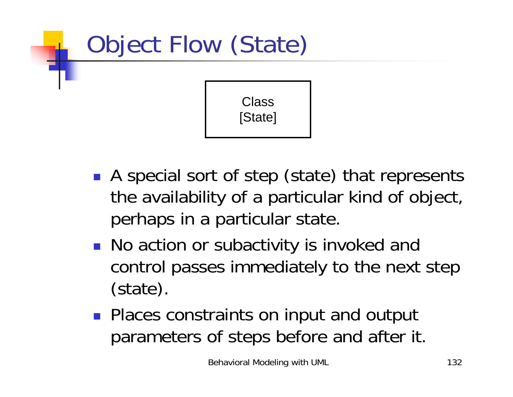

[State]

- A special sort of step (state) that represents the availability of a particular kind of object, perhaps in a particular state.
- **.** No action or subactivity is invoked and control passes immediately to the next step (state).
- **.** Places constraints on input and output parameters of steps before and after it.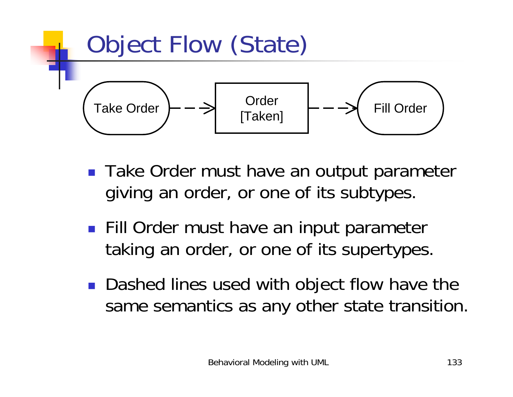

- Take Order must have an output parameter giving an order, or one of its subtypes.
- **. Fill Order must have an input parameter** taking an order, or one of its supertypes.
- ! Dashed lines used with object flow have the same semantics as any other state transition.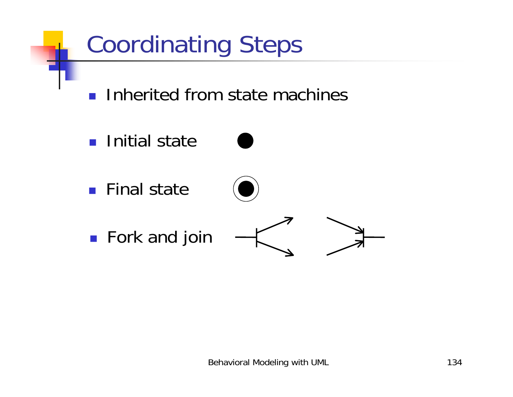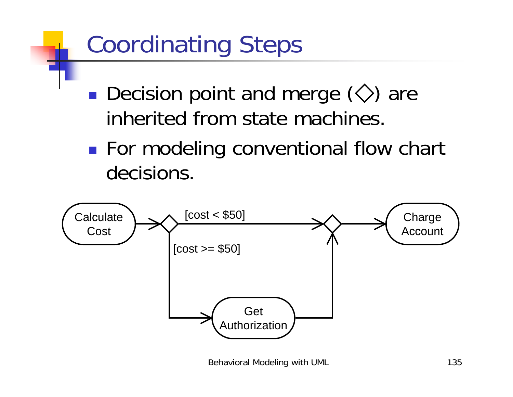## Coordinating Steps

- !**Decision point and merge**  $\langle \diamondsuit \rangle$  **are** inherited from state machines.
- !**For modeling conventional flow chart** decisions.

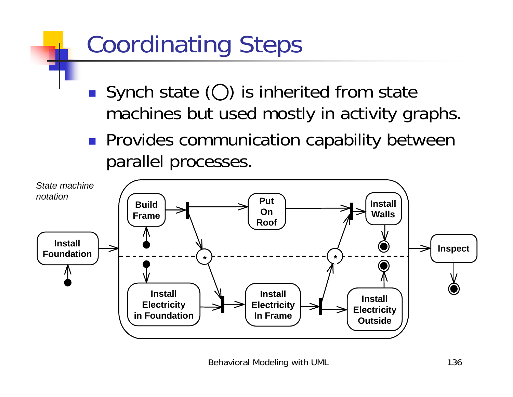# Coordinating Steps

- Synch state  $(O)$  is inherited from state machines but used mostly in activity graphs.
- **Provides communication capability between** parallel processes.

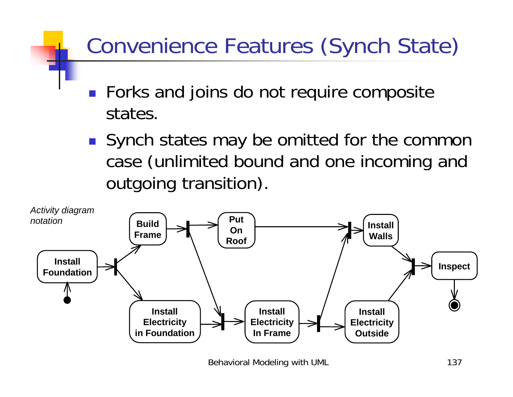#### Convenience Features (Synch State)

- **EXTE:** Forks and joins do not require composite states.
- **.** Synch states may be omitted for the common case (unlimited bound and one incoming and outgoing transition).



Behavioral Modeling with UML 137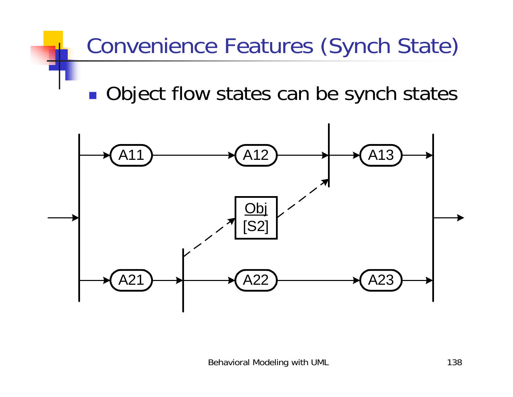#### Convenience Features (Synch State)

!Object flow states can be synch states

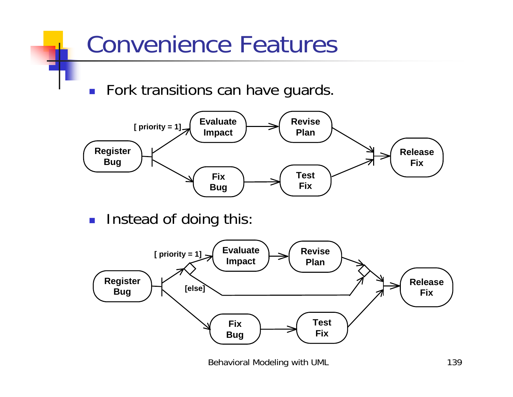

!Instead of doing this:

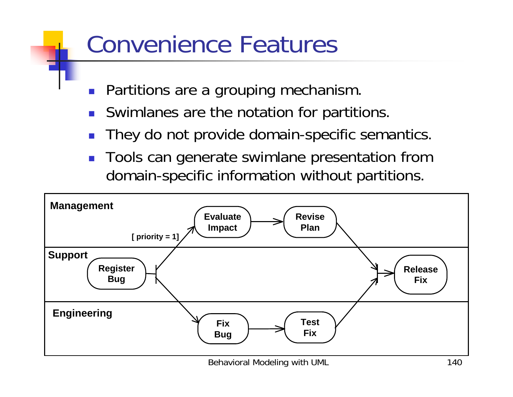### Convenience Features

- !Partitions are a grouping mechanism.
- **.** Swimlanes are the notation for partitions.
- !They do not provide domain-specific semantics.
- ! Tools can generate swimlane presentation from domain-specific information without partitions.

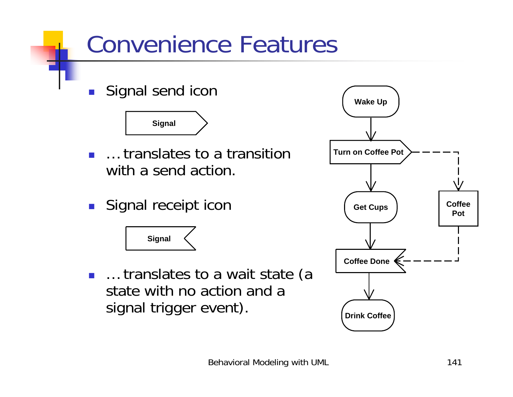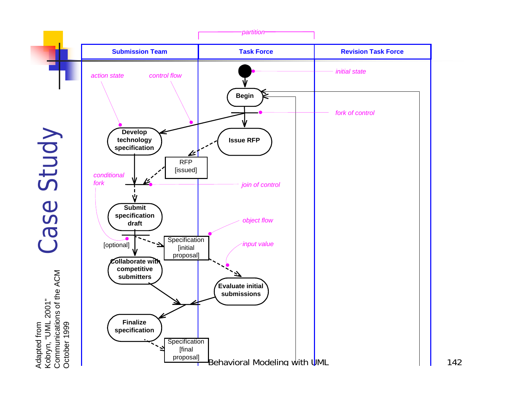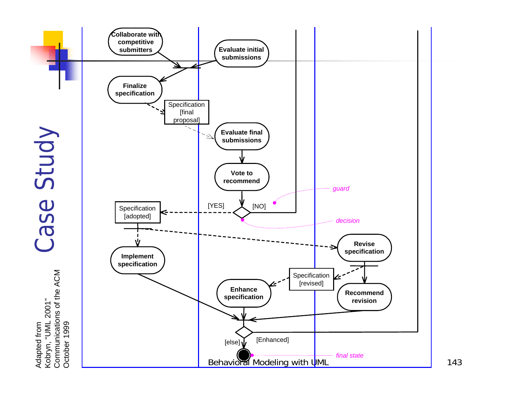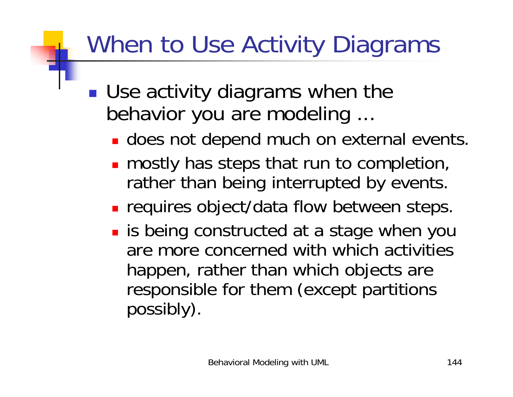# When to Use Activity Diagrams

- *DESCRIPTION AND PROPERTY ARRANGEMENT* **Use activity diagrams when the** behavior you are modeling ...
	- **.** does not depend much on external events.
	- **n** mostly has steps that run to completion, rather than being interrupted by events.
	- **Example 1 requires object/data flow between steps.**
	- **.** is being constructed at a stage when you are more concerned with which activities happen, rather than which objects are responsible for them (except partitions possibly).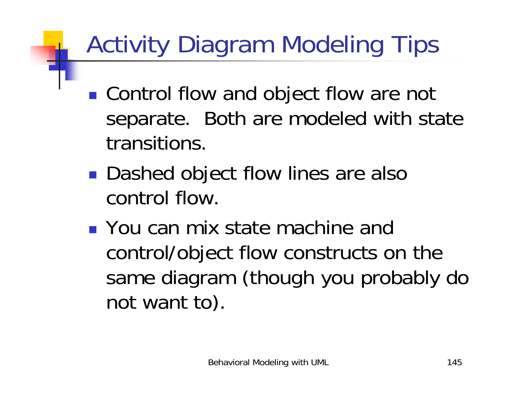# Activity Diagram Modeling Tips

- !■ Control flow and object flow are not separate. Both are modeled with state transitions.
- *DESCRIPTION AND PROPERTY ARRANGEMENT* ■ Dashed object flow lines are also control flow.
- **.** You can mix state machine and control/object flow constructs on the same diagram (though you probably do not want to).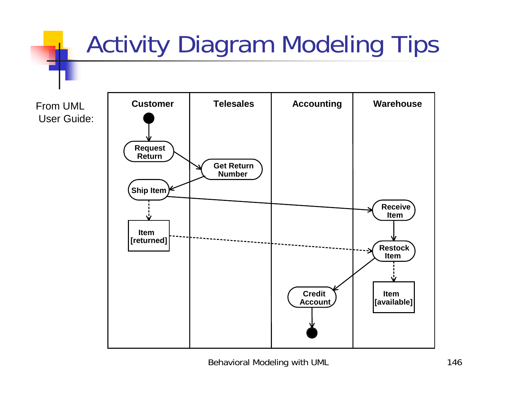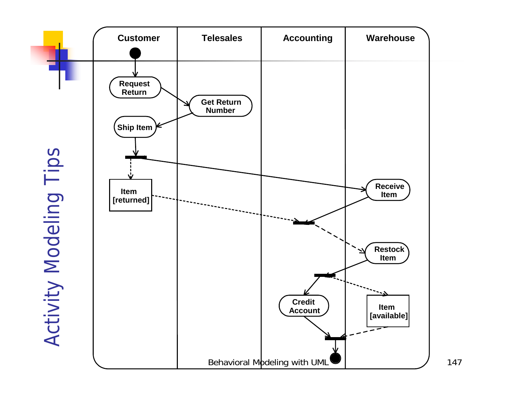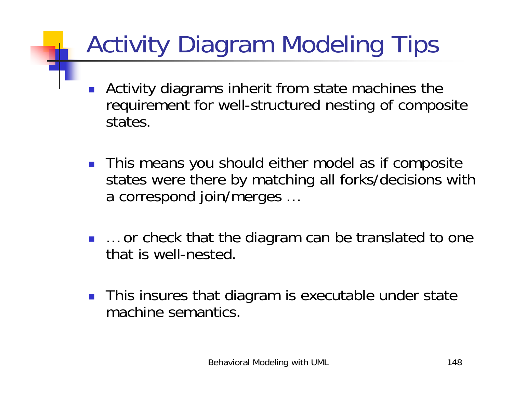# Activity Diagram Modeling Tips

- ! Activity diagrams inherit from state machines the requirement for well-structured nesting of composite states.
- **This means you should either model as if composite** states were there by matching all forks/decisions with a correspond join/merges …
- … or check that the diagram can be translated to one that is well-nested.
- **This insures that diagram is executable under state** machine semantics.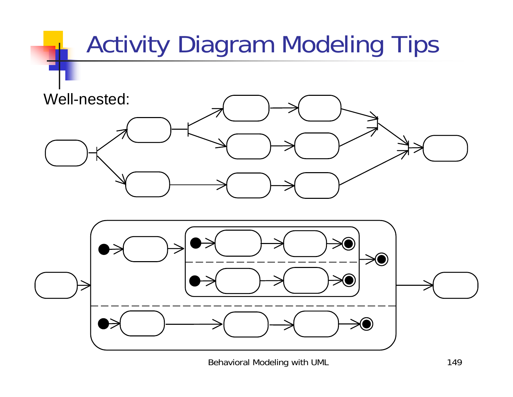

Behavioral Modeling with UML 149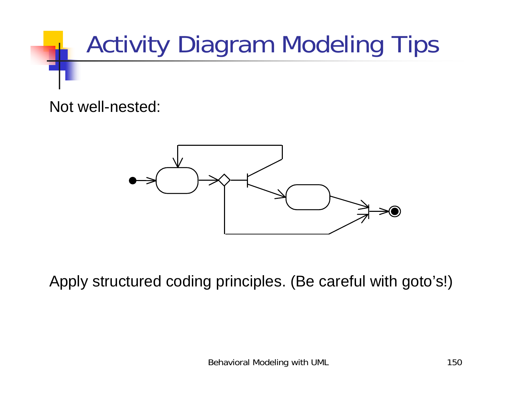

Not well-nested:



Apply structured coding principles. (Be careful with goto's!)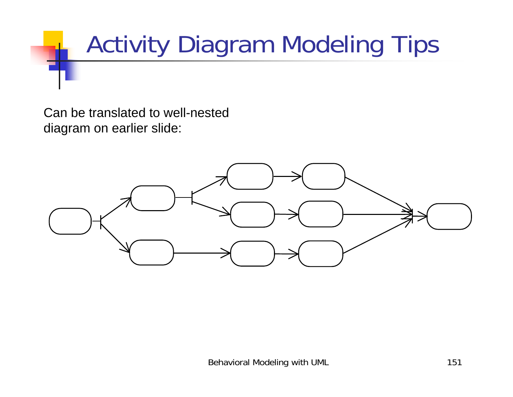

Can be translated to well-nested diagram on earlier slide:

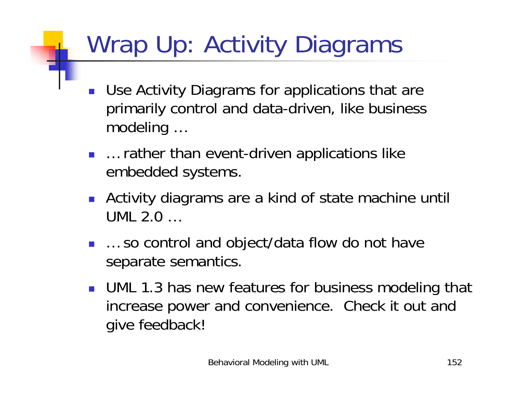## Wrap Up: Activity Diagrams

- ! Use Activity Diagrams for applications that are primarily control and data-driven, like business modeling …
- … rather than event-driven applications like embedded systems.
- **.** Activity diagrams are a kind of state machine until UML 2.0 …
- … so control and object/data flow do not have separate semantics.
- **UML 1.3 has new features for business modeling that** increase power and convenience. Check it out and give feedback!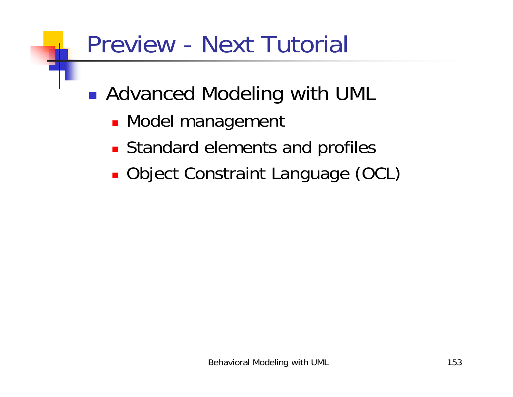### Preview - Next Tutorial

!■ Advanced Modeling with UML

- **. Model management**
- **Example 12 Standard elements and profiles**
- **. Object Constraint Language (OCL)**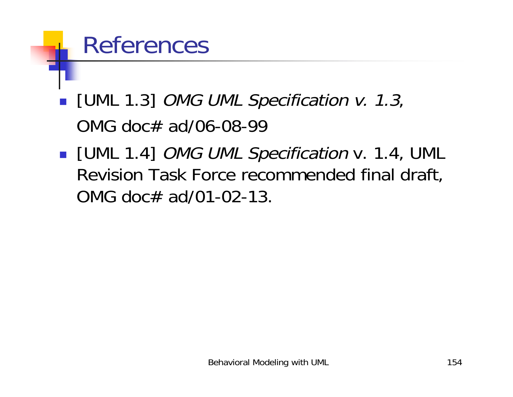#### References

- **I** [UML 1.3] *OMG UML Specification v. 1.3*, OMG doc# ad/06-08-99
- **I** [UML 1.4] *OMG UML Specification* v. 1.4, UML Revision Task Force recommended final draft, OMG doc# ad/01-02-13.